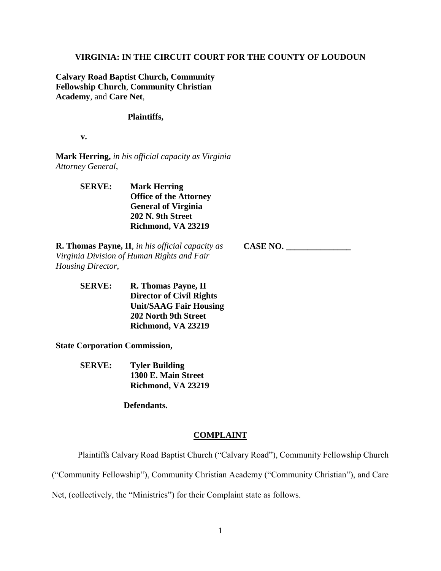## **VIRGINIA: IN THE CIRCUIT COURT FOR THE COUNTY OF LOUDOUN**

**Calvary Road Baptist Church, Community Fellowship Church**, **Community Christian Academy**, and **Care Net**,

## **Plaintiffs,**

**v.**

**Mark Herring,** *in his official capacity as Virginia Attorney General*,

> **SERVE: Mark Herring Office of the Attorney General of Virginia 202 N. 9th Street Richmond, VA 23219**

**R. Thomas Payne, II**, *in his official capacity as Virginia Division of Human Rights and Fair Housing Director*,

> **SERVE: R. Thomas Payne, II Director of Civil Rights Unit/SAAG Fair Housing 202 North 9th Street Richmond, VA 23219**

**State Corporation Commission,**

**SERVE: Tyler Building 1300 E. Main Street Richmond, VA 23219**

**Defendants.**

# **COMPLAINT**

Plaintiffs Calvary Road Baptist Church ("Calvary Road"), Community Fellowship Church

("Community Fellowship"), Community Christian Academy ("Community Christian"), and Care

Net, (collectively, the "Ministries") for their Complaint state as follows.

**CASE NO. \_\_\_\_\_\_\_\_\_\_\_\_\_\_\_**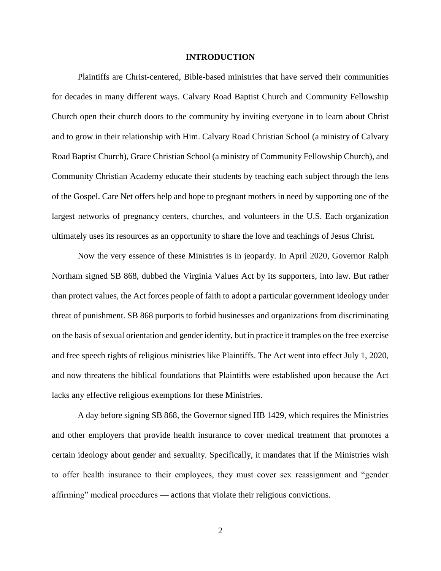### **INTRODUCTION**

Plaintiffs are Christ-centered, Bible-based ministries that have served their communities for decades in many different ways. Calvary Road Baptist Church and Community Fellowship Church open their church doors to the community by inviting everyone in to learn about Christ and to grow in their relationship with Him. Calvary Road Christian School (a ministry of Calvary Road Baptist Church), Grace Christian School (a ministry of Community Fellowship Church), and Community Christian Academy educate their students by teaching each subject through the lens of the Gospel. Care Net offers help and hope to pregnant mothers in need by supporting one of the largest networks of pregnancy centers, churches, and volunteers in the U.S. Each organization ultimately uses its resources as an opportunity to share the love and teachings of Jesus Christ.

Now the very essence of these Ministries is in jeopardy. In April 2020, Governor Ralph Northam signed SB 868, dubbed the Virginia Values Act by its supporters, into law. But rather than protect values, the Act forces people of faith to adopt a particular government ideology under threat of punishment. SB 868 purports to forbid businesses and organizations from discriminating on the basis of sexual orientation and gender identity, but in practice it tramples on the free exercise and free speech rights of religious ministries like Plaintiffs. The Act went into effect July 1, 2020, and now threatens the biblical foundations that Plaintiffs were established upon because the Act lacks any effective religious exemptions for these Ministries.

A day before signing SB 868, the Governor signed HB 1429, which requires the Ministries and other employers that provide health insurance to cover medical treatment that promotes a certain ideology about gender and sexuality. Specifically, it mandates that if the Ministries wish to offer health insurance to their employees, they must cover sex reassignment and "gender affirming" medical procedures — actions that violate their religious convictions.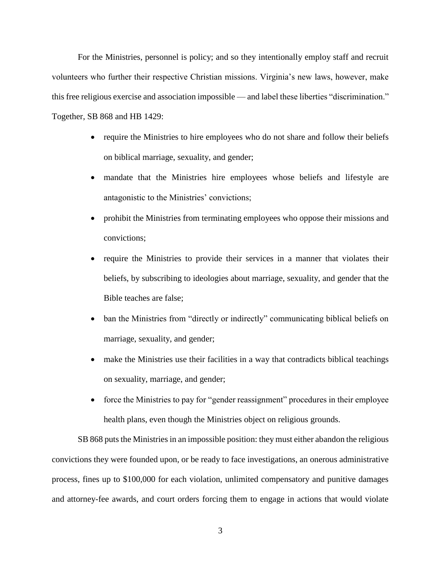For the Ministries, personnel is policy; and so they intentionally employ staff and recruit volunteers who further their respective Christian missions. Virginia's new laws, however, make this free religious exercise and association impossible — and label these liberties "discrimination." Together, SB 868 and HB 1429:

- require the Ministries to hire employees who do not share and follow their beliefs on biblical marriage, sexuality, and gender;
- mandate that the Ministries hire employees whose beliefs and lifestyle are antagonistic to the Ministries' convictions;
- prohibit the Ministries from terminating employees who oppose their missions and convictions;
- require the Ministries to provide their services in a manner that violates their beliefs, by subscribing to ideologies about marriage, sexuality, and gender that the Bible teaches are false;
- ban the Ministries from "directly or indirectly" communicating biblical beliefs on marriage, sexuality, and gender;
- make the Ministries use their facilities in a way that contradicts biblical teachings on sexuality, marriage, and gender;
- force the Ministries to pay for "gender reassignment" procedures in their employee health plans, even though the Ministries object on religious grounds.

SB 868 puts the Ministries in an impossible position: they must either abandon the religious convictions they were founded upon, or be ready to face investigations, an onerous administrative process, fines up to \$100,000 for each violation, unlimited compensatory and punitive damages and attorney-fee awards, and court orders forcing them to engage in actions that would violate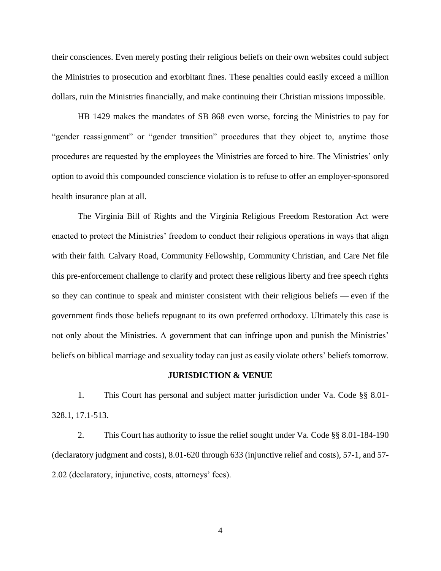their consciences. Even merely posting their religious beliefs on their own websites could subject the Ministries to prosecution and exorbitant fines. These penalties could easily exceed a million dollars, ruin the Ministries financially, and make continuing their Christian missions impossible.

HB 1429 makes the mandates of SB 868 even worse, forcing the Ministries to pay for "gender reassignment" or "gender transition" procedures that they object to, anytime those procedures are requested by the employees the Ministries are forced to hire. The Ministries' only option to avoid this compounded conscience violation is to refuse to offer an employer-sponsored health insurance plan at all.

The Virginia Bill of Rights and the Virginia Religious Freedom Restoration Act were enacted to protect the Ministries' freedom to conduct their religious operations in ways that align with their faith. Calvary Road, Community Fellowship, Community Christian, and Care Net file this pre-enforcement challenge to clarify and protect these religious liberty and free speech rights so they can continue to speak and minister consistent with their religious beliefs — even if the government finds those beliefs repugnant to its own preferred orthodoxy. Ultimately this case is not only about the Ministries. A government that can infringe upon and punish the Ministries' beliefs on biblical marriage and sexuality today can just as easily violate others' beliefs tomorrow.

#### **JURISDICTION & VENUE**

1. This Court has personal and subject matter jurisdiction under Va. Code §§ 8.01- 328.1, 17.1-513.

2. This Court has authority to issue the relief sought under Va. Code §§ 8.01-184-190 (declaratory judgment and costs), 8.01-620 through 633 (injunctive relief and costs), 57-1, and 57- 2.02 (declaratory, injunctive, costs, attorneys' fees).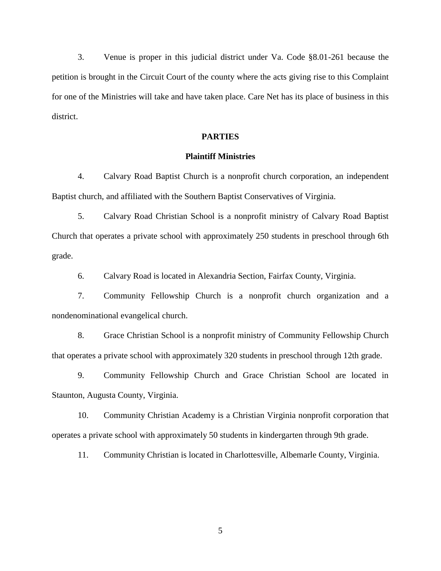3. Venue is proper in this judicial district under Va. Code §8.01-261 because the petition is brought in the Circuit Court of the county where the acts giving rise to this Complaint for one of the Ministries will take and have taken place. Care Net has its place of business in this district.

# **PARTIES**

## **Plaintiff Ministries**

4. Calvary Road Baptist Church is a nonprofit church corporation, an independent Baptist church, and affiliated with the Southern Baptist Conservatives of Virginia.

5. Calvary Road Christian School is a nonprofit ministry of Calvary Road Baptist Church that operates a private school with approximately 250 students in preschool through 6th grade.

6. Calvary Road is located in Alexandria Section, Fairfax County, Virginia.

7. Community Fellowship Church is a nonprofit church organization and a nondenominational evangelical church.

8. Grace Christian School is a nonprofit ministry of Community Fellowship Church that operates a private school with approximately 320 students in preschool through 12th grade.

9. Community Fellowship Church and Grace Christian School are located in Staunton, Augusta County, Virginia.

10. Community Christian Academy is a Christian Virginia nonprofit corporation that operates a private school with approximately 50 students in kindergarten through 9th grade.

11. Community Christian is located in Charlottesville, Albemarle County, Virginia.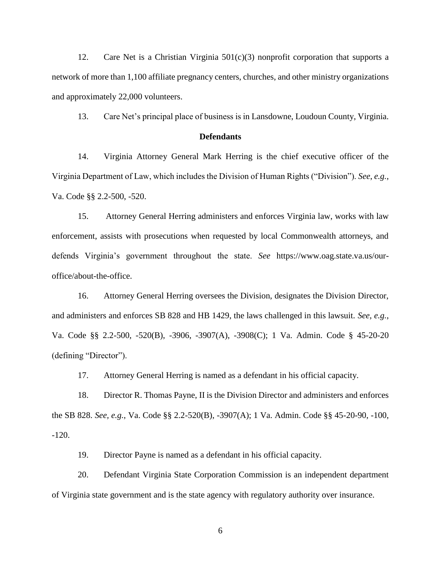12. Care Net is a Christian Virginia  $501(c)(3)$  nonprofit corporation that supports a network of more than 1,100 affiliate pregnancy centers, churches, and other ministry organizations and approximately 22,000 volunteers.

13. Care Net's principal place of business is in Lansdowne, Loudoun County, Virginia.

### **Defendants**

14. Virginia Attorney General Mark Herring is the chief executive officer of the Virginia Department of Law, which includes the Division of Human Rights ("Division"). *See*, *e.g.*, Va. Code §§ 2.2-500, -520.

15. Attorney General Herring administers and enforces Virginia law, works with law enforcement, assists with prosecutions when requested by local Commonwealth attorneys, and defends Virginia's government throughout the state. *See* https://www.oag.state.va.us/ouroffice/about-the-office.

16. Attorney General Herring oversees the Division, designates the Division Director, and administers and enforces SB 828 and HB 1429, the laws challenged in this lawsuit. *See, e.g.*, Va. Code §§ 2.2-500, -520(B), -3906, -3907(A), -3908(C); 1 Va. Admin. Code § 45-20-20 (defining "Director").

17. Attorney General Herring is named as a defendant in his official capacity.

18. Director R. Thomas Payne, II is the Division Director and administers and enforces the SB 828. *See, e.g.*, Va. Code §§ 2.2-520(B), -3907(A); 1 Va. Admin. Code §§ 45-20-90, -100, -120.

19. Director Payne is named as a defendant in his official capacity.

20. Defendant Virginia State Corporation Commission is an independent department of Virginia state government and is the state agency with regulatory authority over insurance.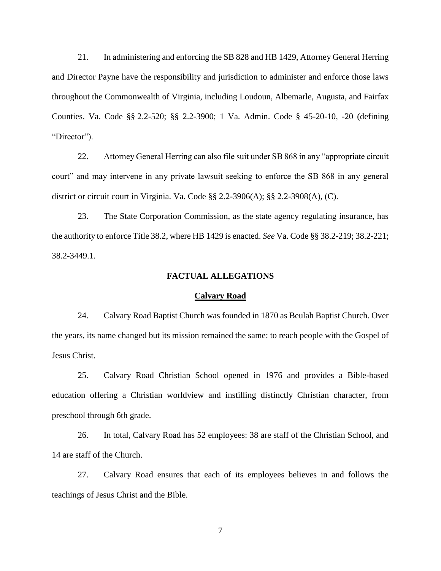21. In administering and enforcing the SB 828 and HB 1429, Attorney General Herring and Director Payne have the responsibility and jurisdiction to administer and enforce those laws throughout the Commonwealth of Virginia, including Loudoun, Albemarle, Augusta, and Fairfax Counties. Va. Code §§ 2.2-520; §§ 2.2-3900; 1 Va. Admin. Code § 45-20-10, -20 (defining "Director").

22. Attorney General Herring can also file suit under SB 868 in any "appropriate circuit court" and may intervene in any private lawsuit seeking to enforce the SB 868 in any general district or circuit court in Virginia. Va. Code §§ 2.2-3906(A); §§ 2.2-3908(A), (C).

23. The State Corporation Commission, as the state agency regulating insurance, has the authority to enforce Title 38.2, where HB 1429 is enacted. *See* Va. Code §§ 38.2-219; 38.2-221; 38.2-3449.1.

### **FACTUAL ALLEGATIONS**

#### **Calvary Road**

24. Calvary Road Baptist Church was founded in 1870 as Beulah Baptist Church. Over the years, its name changed but its mission remained the same: to reach people with the Gospel of Jesus Christ.

25. Calvary Road Christian School opened in 1976 and provides a Bible-based education offering a Christian worldview and instilling distinctly Christian character, from preschool through 6th grade.

26. In total, Calvary Road has 52 employees: 38 are staff of the Christian School, and 14 are staff of the Church.

27. Calvary Road ensures that each of its employees believes in and follows the teachings of Jesus Christ and the Bible.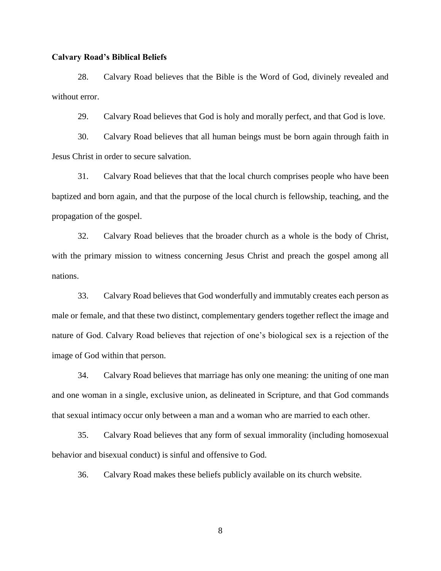### **Calvary Road's Biblical Beliefs**

28. Calvary Road believes that the Bible is the Word of God, divinely revealed and without error.

29. Calvary Road believes that God is holy and morally perfect, and that God is love.

30. Calvary Road believes that all human beings must be born again through faith in Jesus Christ in order to secure salvation.

31. Calvary Road believes that that the local church comprises people who have been baptized and born again, and that the purpose of the local church is fellowship, teaching, and the propagation of the gospel.

32. Calvary Road believes that the broader church as a whole is the body of Christ, with the primary mission to witness concerning Jesus Christ and preach the gospel among all nations.

33. Calvary Road believes that God wonderfully and immutably creates each person as male or female, and that these two distinct, complementary genders together reflect the image and nature of God. Calvary Road believes that rejection of one's biological sex is a rejection of the image of God within that person.

34. Calvary Road believes that marriage has only one meaning: the uniting of one man and one woman in a single, exclusive union, as delineated in Scripture, and that God commands that sexual intimacy occur only between a man and a woman who are married to each other.

35. Calvary Road believes that any form of sexual immorality (including homosexual behavior and bisexual conduct) is sinful and offensive to God.

36. Calvary Road makes these beliefs publicly available on its church website.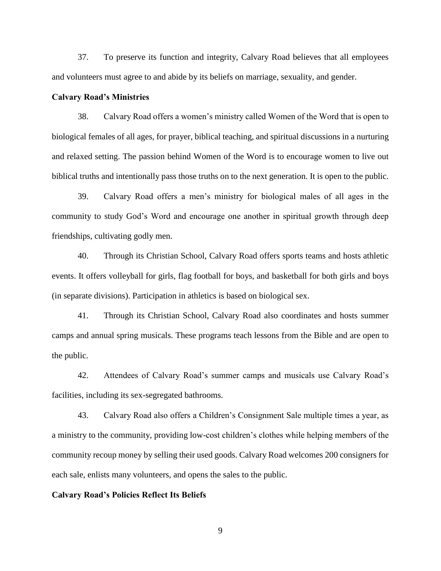37. To preserve its function and integrity, Calvary Road believes that all employees and volunteers must agree to and abide by its beliefs on marriage, sexuality, and gender.

#### **Calvary Road's Ministries**

38. Calvary Road offers a women's ministry called Women of the Word that is open to biological females of all ages, for prayer, biblical teaching, and spiritual discussions in a nurturing and relaxed setting. The passion behind Women of the Word is to encourage women to live out biblical truths and intentionally pass those truths on to the next generation. It is open to the public.

39. Calvary Road offers a men's ministry for biological males of all ages in the community to study God's Word and encourage one another in spiritual growth through deep friendships, cultivating godly men.

40. Through its Christian School, Calvary Road offers sports teams and hosts athletic events. It offers volleyball for girls, flag football for boys, and basketball for both girls and boys (in separate divisions). Participation in athletics is based on biological sex.

41. Through its Christian School, Calvary Road also coordinates and hosts summer camps and annual spring musicals. These programs teach lessons from the Bible and are open to the public.

42. Attendees of Calvary Road's summer camps and musicals use Calvary Road's facilities, including its sex-segregated bathrooms.

43. Calvary Road also offers a Children's Consignment Sale multiple times a year, as a ministry to the community, providing low-cost children's clothes while helping members of the community recoup money by selling their used goods. Calvary Road welcomes 200 consigners for each sale, enlists many volunteers, and opens the sales to the public.

### **Calvary Road's Policies Reflect Its Beliefs**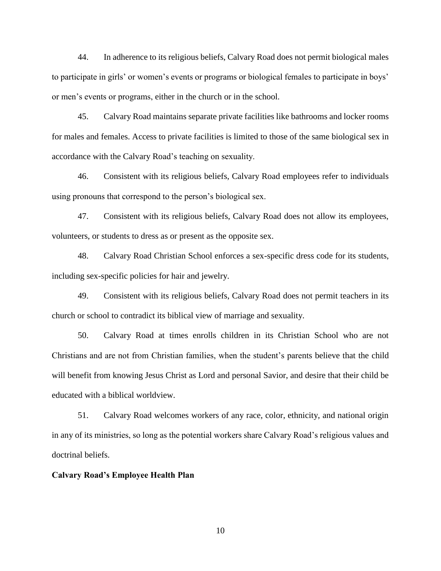44. In adherence to its religious beliefs, Calvary Road does not permit biological males to participate in girls' or women's events or programs or biological females to participate in boys' or men's events or programs, either in the church or in the school.

45. Calvary Road maintains separate private facilities like bathrooms and locker rooms for males and females. Access to private facilities is limited to those of the same biological sex in accordance with the Calvary Road's teaching on sexuality.

46. Consistent with its religious beliefs, Calvary Road employees refer to individuals using pronouns that correspond to the person's biological sex.

47. Consistent with its religious beliefs, Calvary Road does not allow its employees, volunteers, or students to dress as or present as the opposite sex.

48. Calvary Road Christian School enforces a sex-specific dress code for its students, including sex-specific policies for hair and jewelry.

49. Consistent with its religious beliefs, Calvary Road does not permit teachers in its church or school to contradict its biblical view of marriage and sexuality.

50. Calvary Road at times enrolls children in its Christian School who are not Christians and are not from Christian families, when the student's parents believe that the child will benefit from knowing Jesus Christ as Lord and personal Savior, and desire that their child be educated with a biblical worldview.

51. Calvary Road welcomes workers of any race, color, ethnicity, and national origin in any of its ministries, so long as the potential workers share Calvary Road's religious values and doctrinal beliefs.

### **Calvary Road's Employee Health Plan**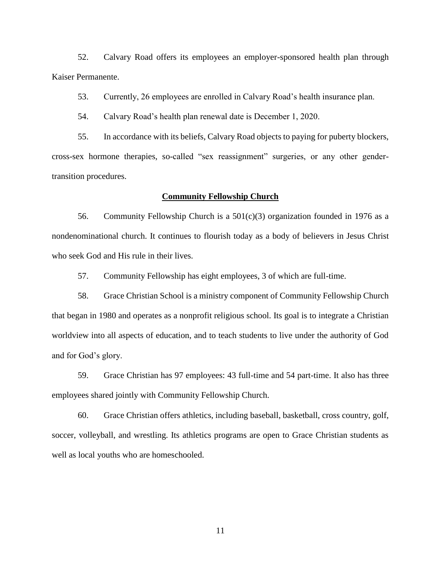52. Calvary Road offers its employees an employer-sponsored health plan through Kaiser Permanente.

53. Currently, 26 employees are enrolled in Calvary Road's health insurance plan.

54. Calvary Road's health plan renewal date is December 1, 2020.

55. In accordance with its beliefs, Calvary Road objects to paying for puberty blockers, cross-sex hormone therapies, so-called "sex reassignment" surgeries, or any other gendertransition procedures.

#### **Community Fellowship Church**

56. Community Fellowship Church is a 501(c)(3) organization founded in 1976 as a nondenominational church. It continues to flourish today as a body of believers in Jesus Christ who seek God and His rule in their lives.

57. Community Fellowship has eight employees, 3 of which are full-time.

58. Grace Christian School is a ministry component of Community Fellowship Church that began in 1980 and operates as a nonprofit religious school. Its goal is to integrate a Christian worldview into all aspects of education, and to teach students to live under the authority of God and for God's glory.

59. Grace Christian has 97 employees: 43 full-time and 54 part-time. It also has three employees shared jointly with Community Fellowship Church.

60. Grace Christian offers athletics, including baseball, basketball, cross country, golf, soccer, volleyball, and wrestling. Its athletics programs are open to Grace Christian students as well as local youths who are homeschooled.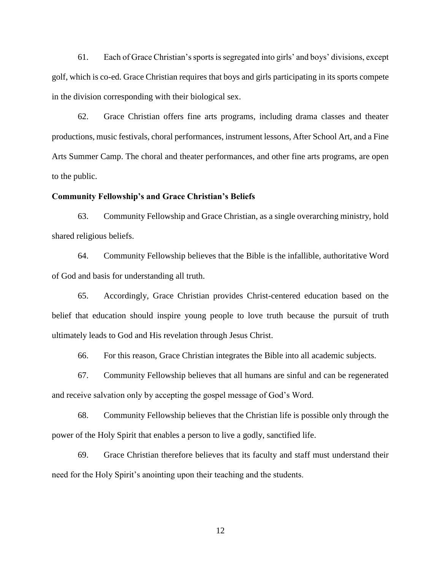61. Each of Grace Christian's sports is segregated into girls' and boys' divisions, except golf, which is co-ed. Grace Christian requires that boys and girls participating in its sports compete in the division corresponding with their biological sex.

62. Grace Christian offers fine arts programs, including drama classes and theater productions, music festivals, choral performances, instrument lessons, After School Art, and a Fine Arts Summer Camp. The choral and theater performances, and other fine arts programs, are open to the public.

### **Community Fellowship's and Grace Christian's Beliefs**

63. Community Fellowship and Grace Christian, as a single overarching ministry, hold shared religious beliefs.

64. Community Fellowship believes that the Bible is the infallible, authoritative Word of God and basis for understanding all truth.

65. Accordingly, Grace Christian provides Christ-centered education based on the belief that education should inspire young people to love truth because the pursuit of truth ultimately leads to God and His revelation through Jesus Christ.

66. For this reason, Grace Christian integrates the Bible into all academic subjects.

67. Community Fellowship believes that all humans are sinful and can be regenerated and receive salvation only by accepting the gospel message of God's Word.

68. Community Fellowship believes that the Christian life is possible only through the power of the Holy Spirit that enables a person to live a godly, sanctified life.

69. Grace Christian therefore believes that its faculty and staff must understand their need for the Holy Spirit's anointing upon their teaching and the students.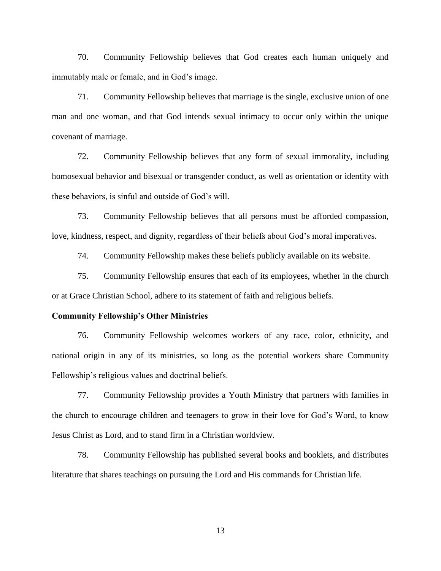70. Community Fellowship believes that God creates each human uniquely and immutably male or female, and in God's image.

71. Community Fellowship believes that marriage is the single, exclusive union of one man and one woman, and that God intends sexual intimacy to occur only within the unique covenant of marriage.

72. Community Fellowship believes that any form of sexual immorality, including homosexual behavior and bisexual or transgender conduct, as well as orientation or identity with these behaviors, is sinful and outside of God's will.

73. Community Fellowship believes that all persons must be afforded compassion, love, kindness, respect, and dignity, regardless of their beliefs about God's moral imperatives.

74. Community Fellowship makes these beliefs publicly available on its website.

75. Community Fellowship ensures that each of its employees, whether in the church or at Grace Christian School, adhere to its statement of faith and religious beliefs.

### **Community Fellowship's Other Ministries**

76. Community Fellowship welcomes workers of any race, color, ethnicity, and national origin in any of its ministries, so long as the potential workers share Community Fellowship's religious values and doctrinal beliefs.

77. Community Fellowship provides a Youth Ministry that partners with families in the church to encourage children and teenagers to grow in their love for God's Word, to know Jesus Christ as Lord, and to stand firm in a Christian worldview.

78. Community Fellowship has published several books and booklets, and distributes literature that shares teachings on pursuing the Lord and His commands for Christian life.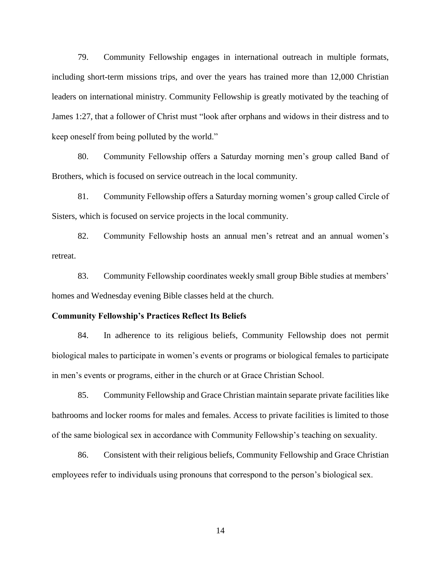79. Community Fellowship engages in international outreach in multiple formats, including short-term missions trips, and over the years has trained more than 12,000 Christian leaders on international ministry. Community Fellowship is greatly motivated by the teaching of James 1:27, that a follower of Christ must "look after orphans and widows in their distress and to keep oneself from being polluted by the world."

80. Community Fellowship offers a Saturday morning men's group called Band of Brothers, which is focused on service outreach in the local community.

81. Community Fellowship offers a Saturday morning women's group called Circle of Sisters, which is focused on service projects in the local community.

82. Community Fellowship hosts an annual men's retreat and an annual women's retreat.

83. Community Fellowship coordinates weekly small group Bible studies at members' homes and Wednesday evening Bible classes held at the church.

# **Community Fellowship's Practices Reflect Its Beliefs**

84. In adherence to its religious beliefs, Community Fellowship does not permit biological males to participate in women's events or programs or biological females to participate in men's events or programs, either in the church or at Grace Christian School.

85. Community Fellowship and Grace Christian maintain separate private facilities like bathrooms and locker rooms for males and females. Access to private facilities is limited to those of the same biological sex in accordance with Community Fellowship's teaching on sexuality.

86. Consistent with their religious beliefs, Community Fellowship and Grace Christian employees refer to individuals using pronouns that correspond to the person's biological sex.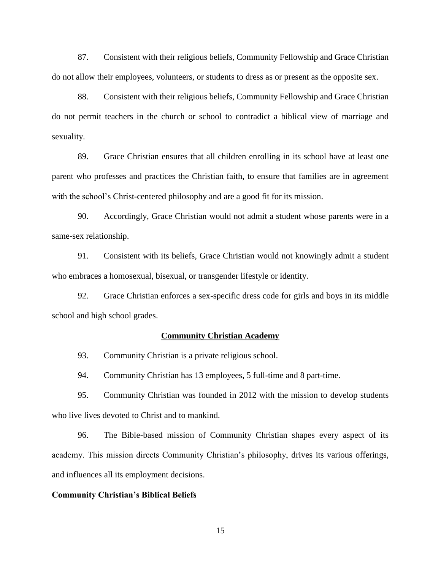87. Consistent with their religious beliefs, Community Fellowship and Grace Christian do not allow their employees, volunteers, or students to dress as or present as the opposite sex.

88. Consistent with their religious beliefs, Community Fellowship and Grace Christian do not permit teachers in the church or school to contradict a biblical view of marriage and sexuality.

89. Grace Christian ensures that all children enrolling in its school have at least one parent who professes and practices the Christian faith, to ensure that families are in agreement with the school's Christ-centered philosophy and are a good fit for its mission.

90. Accordingly, Grace Christian would not admit a student whose parents were in a same-sex relationship.

91. Consistent with its beliefs, Grace Christian would not knowingly admit a student who embraces a homosexual, bisexual, or transgender lifestyle or identity.

92. Grace Christian enforces a sex-specific dress code for girls and boys in its middle school and high school grades.

## **Community Christian Academy**

93. Community Christian is a private religious school.

94. Community Christian has 13 employees, 5 full-time and 8 part-time.

95. Community Christian was founded in 2012 with the mission to develop students who live lives devoted to Christ and to mankind.

96. The Bible-based mission of Community Christian shapes every aspect of its academy. This mission directs Community Christian's philosophy, drives its various offerings, and influences all its employment decisions.

### **Community Christian's Biblical Beliefs**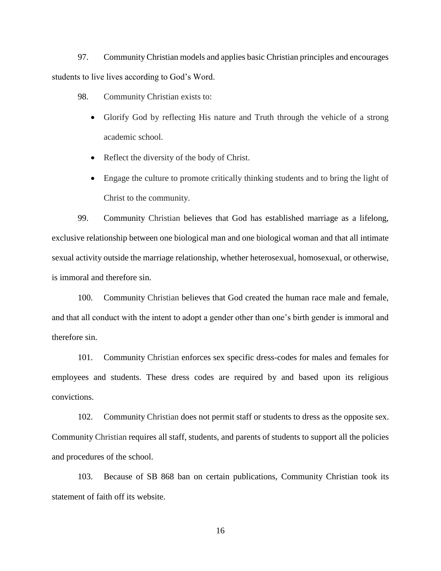97. Community Christian models and applies basic Christian principles and encourages students to live lives according to God's Word.

- 98. Community Christian exists to:
	- Glorify God by reflecting His nature and Truth through the vehicle of a strong academic school.
	- Reflect the diversity of the body of Christ.
	- Engage the culture to promote critically thinking students and to bring the light of Christ to the community.

99. Community Christian believes that God has established marriage as a lifelong, exclusive relationship between one biological man and one biological woman and that all intimate sexual activity outside the marriage relationship, whether heterosexual, homosexual, or otherwise, is immoral and therefore sin.

100. Community Christian believes that God created the human race male and female, and that all conduct with the intent to adopt a gender other than one's birth gender is immoral and therefore sin.

101. Community Christian enforces sex specific dress-codes for males and females for employees and students. These dress codes are required by and based upon its religious convictions.

102. Community Christian does not permit staff or students to dress as the opposite sex. Community Christian requires all staff, students, and parents of students to support all the policies and procedures of the school.

103. Because of SB 868 ban on certain publications, Community Christian took its statement of faith off its website.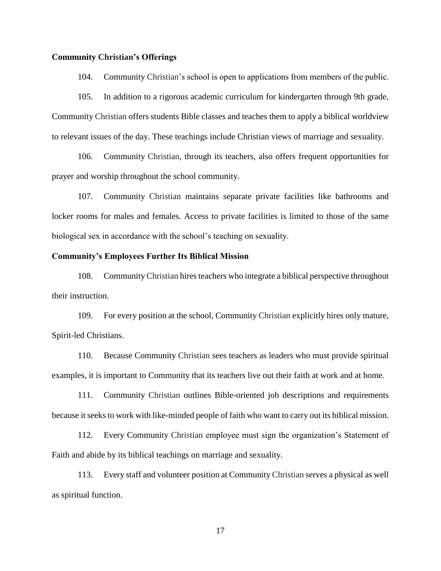### **Community Christian's Offerings**

104. Community Christian's school is open to applications from members of the public.

105. In addition to a rigorous academic curriculum for kindergarten through 9th grade, Community Christian offers students Bible classes and teaches them to apply a biblical worldview to relevant issues of the day. These teachings include Christian views of marriage and sexuality.

106. Community Christian, through its teachers, also offers frequent opportunities for prayer and worship throughout the school community.

107. Community Christian maintains separate private facilities like bathrooms and locker rooms for males and females. Access to private facilities is limited to those of the same biological sex in accordance with the school's teaching on sexuality.

### **Community's Employees Further Its Biblical Mission**

108. Community Christian hires teachers who integrate a biblical perspective throughout their instruction.

109. For every position at the school, Community Christian explicitly hires only mature, Spirit-led Christians.

110. Because Community Christian sees teachers as leaders who must provide spiritual examples, it is important to Community that its teachers live out their faith at work and at home.

111. Community Christian outlines Bible-oriented job descriptions and requirements because it seeks to work with like-minded people of faith who want to carry out its biblical mission.

112. Every Community Christian employee must sign the organization's Statement of Faith and abide by its biblical teachings on marriage and sexuality.

113. Every staff and volunteer position at Community Christian serves a physical as well as spiritual function.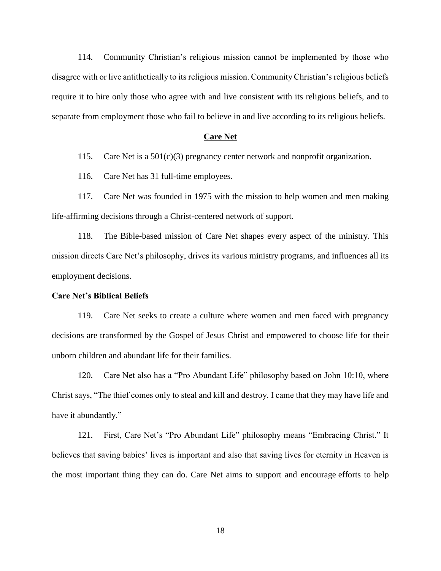114. Community Christian's religious mission cannot be implemented by those who disagree with or live antithetically to its religious mission. Community Christian's religious beliefs require it to hire only those who agree with and live consistent with its religious beliefs, and to separate from employment those who fail to believe in and live according to its religious beliefs.

### **Care Net**

115. Care Net is a 501(c)(3) pregnancy center network and nonprofit organization.

116. Care Net has 31 full-time employees.

117. Care Net was founded in 1975 with the mission to help women and men making life-affirming decisions through a Christ-centered network of support.

118. The Bible-based mission of Care Net shapes every aspect of the ministry. This mission directs Care Net's philosophy, drives its various ministry programs, and influences all its employment decisions.

## **Care Net's Biblical Beliefs**

119. Care Net seeks to create a culture where women and men faced with pregnancy decisions are transformed by the Gospel of Jesus Christ and empowered to choose life for their unborn children and abundant life for their families.

120. Care Net also has a "Pro Abundant Life" philosophy based on John 10:10, where Christ says, "The thief comes only to steal and kill and destroy. I came that they may have life and have it abundantly."

121. First, Care Net's "Pro Abundant Life" philosophy means "Embracing Christ." It believes that saving babies' lives is important and also that saving lives for eternity in Heaven is the most important thing they can do. Care Net aims to support and encourage efforts to help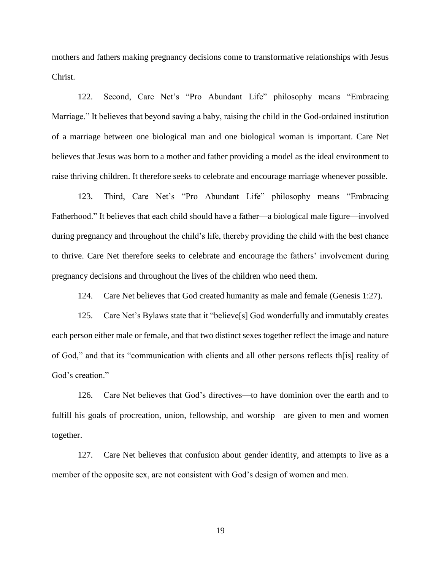mothers and fathers making pregnancy decisions come to transformative relationships with Jesus Christ.

122. Second, Care Net's "Pro Abundant Life" philosophy means "Embracing Marriage." It believes that beyond saving a baby, raising the child in the God-ordained institution of a marriage between one biological man and one biological woman is important. Care Net believes that Jesus was born to a mother and father providing a model as the ideal environment to raise thriving children. It therefore seeks to celebrate and encourage marriage whenever possible.

123. Third, Care Net's "Pro Abundant Life" philosophy means "Embracing Fatherhood." It believes that each child should have a father—a biological male figure—involved during pregnancy and throughout the child's life, thereby providing the child with the best chance to thrive. Care Net therefore seeks to celebrate and encourage the fathers' involvement during pregnancy decisions and throughout the lives of the children who need them.

124. Care Net believes that God created humanity as male and female (Genesis 1:27).

125. Care Net's Bylaws state that it "believe[s] God wonderfully and immutably creates each person either male or female, and that two distinct sexes together reflect the image and nature of God," and that its "communication with clients and all other persons reflects th[is] reality of God's creation."

126. Care Net believes that God's directives—to have dominion over the earth and to fulfill his goals of procreation, union, fellowship, and worship—are given to men and women together.

127. Care Net believes that confusion about gender identity, and attempts to live as a member of the opposite sex, are not consistent with God's design of women and men.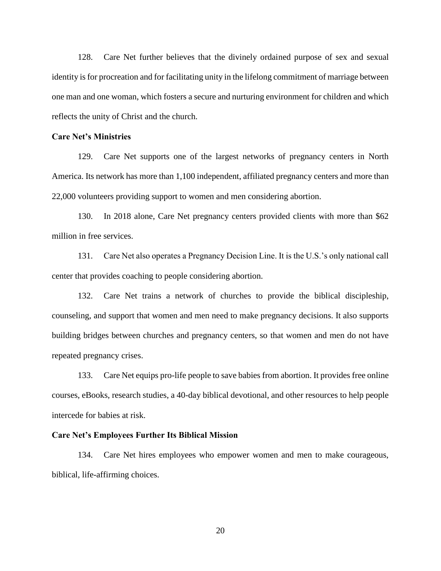128. Care Net further believes that the divinely ordained purpose of sex and sexual identity is for procreation and for facilitating unity in the lifelong commitment of marriage between one man and one woman, which fosters a secure and nurturing environment for children and which reflects the unity of Christ and the church.

### **Care Net's Ministries**

129. Care Net supports one of the largest networks of pregnancy centers in North America. Its network has more than 1,100 independent, affiliated pregnancy centers and more than 22,000 volunteers providing support to women and men considering abortion.

130. In 2018 alone, Care Net pregnancy centers provided clients with more than \$62 million in free services.

131. Care Net also operates a Pregnancy Decision Line. It is the U.S.'s only national call center that provides coaching to people considering abortion.

132. Care Net trains a network of churches to provide the biblical discipleship, counseling, and support that women and men need to make pregnancy decisions. It also supports building bridges between churches and pregnancy centers, so that women and men do not have repeated pregnancy crises.

133. Care Net equips pro-life people to save babies from abortion. It provides free online courses, eBooks, research studies, a 40-day biblical devotional, and other resources to help people intercede for babies at risk.

### **Care Net's Employees Further Its Biblical Mission**

134. Care Net hires employees who empower women and men to make courageous, biblical, life-affirming choices.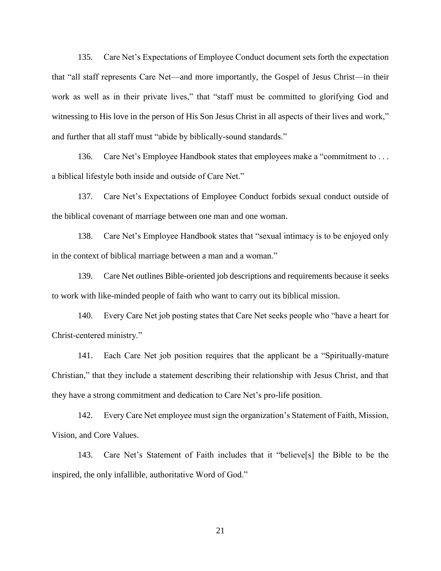135. Care Net's Expectations of Employee Conduct document sets forth the expectation that "all staff represents Care Net—and more importantly, the Gospel of Jesus Christ—in their work as well as in their private lives," that "staff must be committed to glorifying God and witnessing to His love in the person of His Son Jesus Christ in all aspects of their lives and work," and further that all staff must "abide by biblically-sound standards."

136. Care Net's Employee Handbook states that employees make a "commitment to . . . a biblical lifestyle both inside and outside of Care Net."

137. Care Net's Expectations of Employee Conduct forbids sexual conduct outside of the biblical covenant of marriage between one man and one woman.

138. Care Net's Employee Handbook states that "sexual intimacy is to be enjoyed only in the context of biblical marriage between a man and a woman."

139. Care Net outlines Bible-oriented job descriptions and requirements because it seeks to work with like-minded people of faith who want to carry out its biblical mission.

140. Every Care Net job posting states that Care Net seeks people who "have a heart for Christ-centered ministry."

141. Each Care Net job position requires that the applicant be a "Spiritually-mature Christian," that they include a statement describing their relationship with Jesus Christ, and that they have a strong commitment and dedication to Care Net's pro-life position.

142. Every Care Net employee must sign the organization's Statement of Faith, Mission, Vision, and Core Values.

143. Care Net's Statement of Faith includes that it "believe[s] the Bible to be the inspired, the only infallible, authoritative Word of God."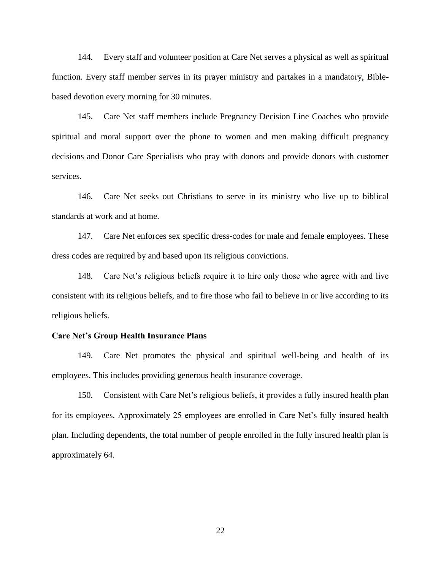144. Every staff and volunteer position at Care Net serves a physical as well as spiritual function. Every staff member serves in its prayer ministry and partakes in a mandatory, Biblebased devotion every morning for 30 minutes.

145. Care Net staff members include Pregnancy Decision Line Coaches who provide spiritual and moral support over the phone to women and men making difficult pregnancy decisions and Donor Care Specialists who pray with donors and provide donors with customer services.

146. Care Net seeks out Christians to serve in its ministry who live up to biblical standards at work and at home.

147. Care Net enforces sex specific dress-codes for male and female employees. These dress codes are required by and based upon its religious convictions.

148. Care Net's religious beliefs require it to hire only those who agree with and live consistent with its religious beliefs, and to fire those who fail to believe in or live according to its religious beliefs.

### **Care Net's Group Health Insurance Plans**

149. Care Net promotes the physical and spiritual well-being and health of its employees. This includes providing generous health insurance coverage.

150. Consistent with Care Net's religious beliefs, it provides a fully insured health plan for its employees. Approximately 25 employees are enrolled in Care Net's fully insured health plan. Including dependents, the total number of people enrolled in the fully insured health plan is approximately 64.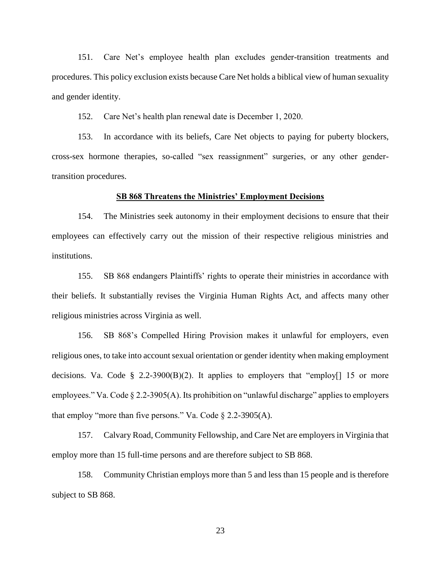151. Care Net's employee health plan excludes gender-transition treatments and procedures. This policy exclusion exists because Care Net holds a biblical view of human sexuality and gender identity.

152. Care Net's health plan renewal date is December 1, 2020.

153. In accordance with its beliefs, Care Net objects to paying for puberty blockers, cross-sex hormone therapies, so-called "sex reassignment" surgeries, or any other gendertransition procedures.

#### **SB 868 Threatens the Ministries' Employment Decisions**

154. The Ministries seek autonomy in their employment decisions to ensure that their employees can effectively carry out the mission of their respective religious ministries and institutions.

155. SB 868 endangers Plaintiffs' rights to operate their ministries in accordance with their beliefs. It substantially revises the Virginia Human Rights Act, and affects many other religious ministries across Virginia as well.

156. SB 868's Compelled Hiring Provision makes it unlawful for employers, even religious ones, to take into account sexual orientation or gender identity when making employment decisions. Va. Code  $\S$  2.2-3900(B)(2). It applies to employers that "employ[] 15 or more employees." Va. Code § 2.2-3905(A). Its prohibition on "unlawful discharge" applies to employers that employ "more than five persons." Va. Code  $\S$  2.2-3905(A).

157. Calvary Road, Community Fellowship, and Care Net are employers in Virginia that employ more than 15 full-time persons and are therefore subject to SB 868.

158. Community Christian employs more than 5 and less than 15 people and is therefore subject to SB 868.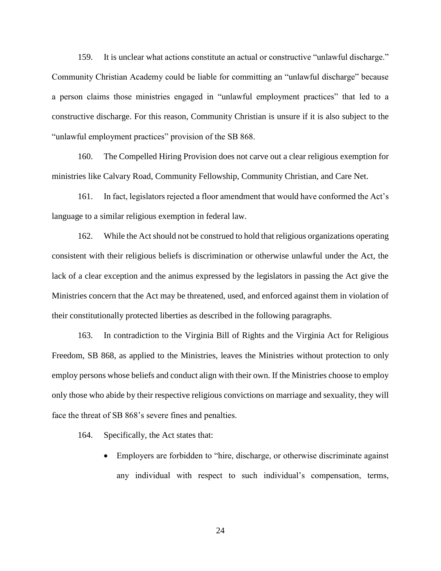159. It is unclear what actions constitute an actual or constructive "unlawful discharge." Community Christian Academy could be liable for committing an "unlawful discharge" because a person claims those ministries engaged in "unlawful employment practices" that led to a constructive discharge. For this reason, Community Christian is unsure if it is also subject to the "unlawful employment practices" provision of the SB 868.

160. The Compelled Hiring Provision does not carve out a clear religious exemption for ministries like Calvary Road, Community Fellowship, Community Christian, and Care Net.

161. In fact, legislators rejected a floor amendment that would have conformed the Act's language to a similar religious exemption in federal law.

162. While the Act should not be construed to hold that religious organizations operating consistent with their religious beliefs is discrimination or otherwise unlawful under the Act, the lack of a clear exception and the animus expressed by the legislators in passing the Act give the Ministries concern that the Act may be threatened, used, and enforced against them in violation of their constitutionally protected liberties as described in the following paragraphs.

163. In contradiction to the Virginia Bill of Rights and the Virginia Act for Religious Freedom, SB 868, as applied to the Ministries, leaves the Ministries without protection to only employ persons whose beliefs and conduct align with their own. If the Ministries choose to employ only those who abide by their respective religious convictions on marriage and sexuality, they will face the threat of SB 868's severe fines and penalties.

- 164. Specifically, the Act states that:
	- Employers are forbidden to "hire, discharge, or otherwise discriminate against any individual with respect to such individual's compensation, terms,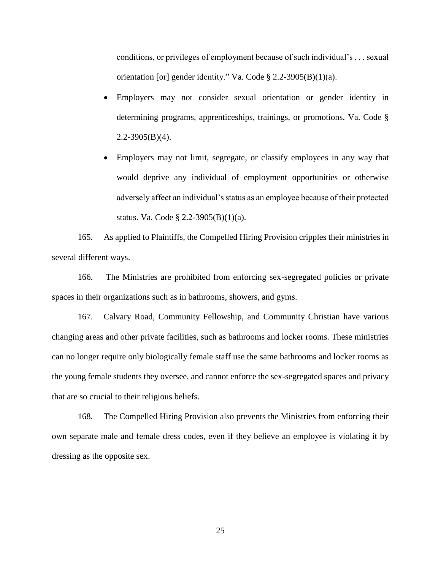conditions, or privileges of employment because of such individual's . . . sexual orientation [or] gender identity." Va. Code § 2.2-3905(B)(1)(a).

- Employers may not consider sexual orientation or gender identity in determining programs, apprenticeships, trainings, or promotions. Va. Code §  $2.2 - 3905(B)(4)$ .
- Employers may not limit, segregate, or classify employees in any way that would deprive any individual of employment opportunities or otherwise adversely affect an individual's status as an employee because of their protected status. Va. Code § 2.2-3905(B)(1)(a).

165. As applied to Plaintiffs, the Compelled Hiring Provision cripples their ministries in several different ways.

166. The Ministries are prohibited from enforcing sex-segregated policies or private spaces in their organizations such as in bathrooms, showers, and gyms.

167. Calvary Road, Community Fellowship, and Community Christian have various changing areas and other private facilities, such as bathrooms and locker rooms. These ministries can no longer require only biologically female staff use the same bathrooms and locker rooms as the young female students they oversee, and cannot enforce the sex-segregated spaces and privacy that are so crucial to their religious beliefs.

168. The Compelled Hiring Provision also prevents the Ministries from enforcing their own separate male and female dress codes, even if they believe an employee is violating it by dressing as the opposite sex.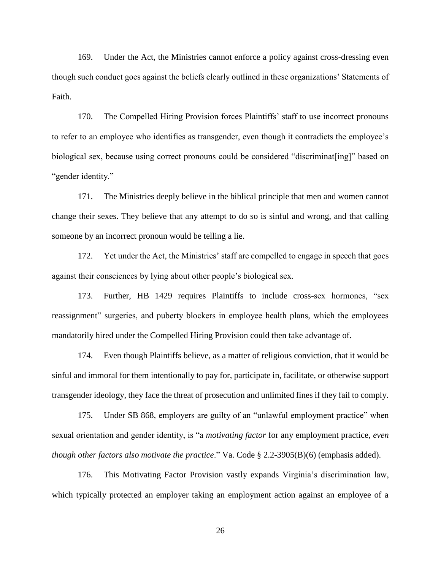169. Under the Act, the Ministries cannot enforce a policy against cross-dressing even though such conduct goes against the beliefs clearly outlined in these organizations' Statements of Faith.

170. The Compelled Hiring Provision forces Plaintiffs' staff to use incorrect pronouns to refer to an employee who identifies as transgender, even though it contradicts the employee's biological sex, because using correct pronouns could be considered "discriminat [ing]" based on "gender identity."

171. The Ministries deeply believe in the biblical principle that men and women cannot change their sexes. They believe that any attempt to do so is sinful and wrong, and that calling someone by an incorrect pronoun would be telling a lie.

172. Yet under the Act, the Ministries' staff are compelled to engage in speech that goes against their consciences by lying about other people's biological sex.

173. Further, HB 1429 requires Plaintiffs to include cross-sex hormones, "sex reassignment" surgeries, and puberty blockers in employee health plans, which the employees mandatorily hired under the Compelled Hiring Provision could then take advantage of.

174. Even though Plaintiffs believe, as a matter of religious conviction, that it would be sinful and immoral for them intentionally to pay for, participate in, facilitate, or otherwise support transgender ideology, they face the threat of prosecution and unlimited fines if they fail to comply.

175. Under SB 868, employers are guilty of an "unlawful employment practice" when sexual orientation and gender identity, is "a *motivating factor* for any employment practice, *even though other factors also motivate the practice*." Va. Code § 2.2-3905(B)(6) (emphasis added).

176. This Motivating Factor Provision vastly expands Virginia's discrimination law, which typically protected an employer taking an employment action against an employee of a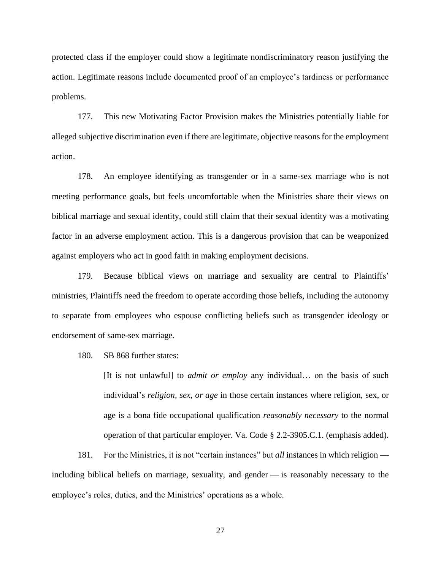protected class if the employer could show a legitimate nondiscriminatory reason justifying the action. Legitimate reasons include documented proof of an employee's tardiness or performance problems.

177. This new Motivating Factor Provision makes the Ministries potentially liable for alleged subjective discrimination even if there are legitimate, objective reasons for the employment action.

178. An employee identifying as transgender or in a same-sex marriage who is not meeting performance goals, but feels uncomfortable when the Ministries share their views on biblical marriage and sexual identity, could still claim that their sexual identity was a motivating factor in an adverse employment action. This is a dangerous provision that can be weaponized against employers who act in good faith in making employment decisions.

179. Because biblical views on marriage and sexuality are central to Plaintiffs' ministries, Plaintiffs need the freedom to operate according those beliefs, including the autonomy to separate from employees who espouse conflicting beliefs such as transgender ideology or endorsement of same-sex marriage.

180. SB 868 further states:

[It is not unlawful] to *admit or employ* any individual… on the basis of such individual's *religion, sex, or age* in those certain instances where religion, sex, or age is a bona fide occupational qualification *reasonably necessary* to the normal operation of that particular employer. Va. Code § 2.2-3905.C.1. (emphasis added).

181. For the Ministries, it is not "certain instances" but *all* instances in which religion including biblical beliefs on marriage, sexuality, and gender — is reasonably necessary to the employee's roles, duties, and the Ministries' operations as a whole.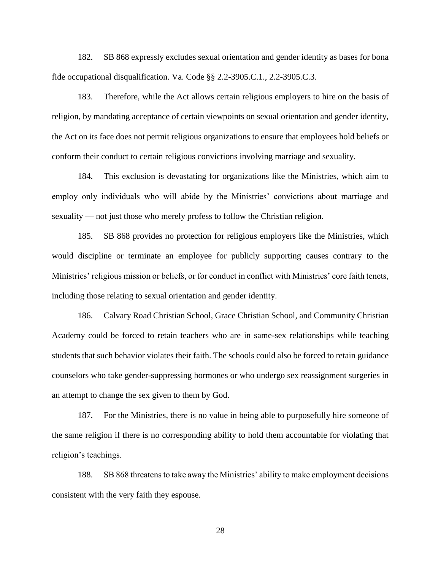182. SB 868 expressly excludes sexual orientation and gender identity as bases for bona fide occupational disqualification. Va. Code §§ 2.2-3905.C.1., 2.2-3905.C.3.

183. Therefore, while the Act allows certain religious employers to hire on the basis of religion, by mandating acceptance of certain viewpoints on sexual orientation and gender identity, the Act on its face does not permit religious organizations to ensure that employees hold beliefs or conform their conduct to certain religious convictions involving marriage and sexuality.

184. This exclusion is devastating for organizations like the Ministries, which aim to employ only individuals who will abide by the Ministries' convictions about marriage and sexuality — not just those who merely profess to follow the Christian religion.

185. SB 868 provides no protection for religious employers like the Ministries, which would discipline or terminate an employee for publicly supporting causes contrary to the Ministries' religious mission or beliefs, or for conduct in conflict with Ministries' core faith tenets, including those relating to sexual orientation and gender identity.

186. Calvary Road Christian School, Grace Christian School, and Community Christian Academy could be forced to retain teachers who are in same-sex relationships while teaching students that such behavior violates their faith. The schools could also be forced to retain guidance counselors who take gender-suppressing hormones or who undergo sex reassignment surgeries in an attempt to change the sex given to them by God.

187. For the Ministries, there is no value in being able to purposefully hire someone of the same religion if there is no corresponding ability to hold them accountable for violating that religion's teachings.

188. SB 868 threatens to take away the Ministries' ability to make employment decisions consistent with the very faith they espouse.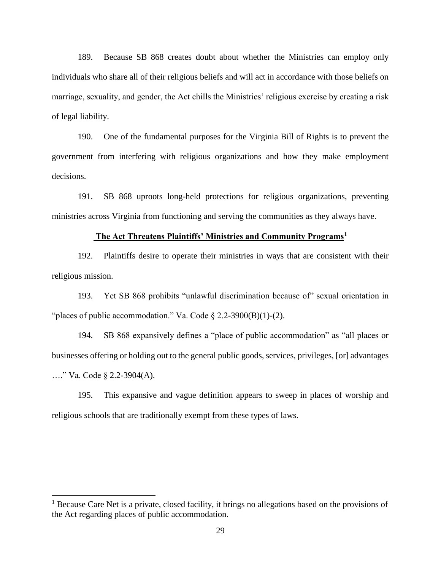189. Because SB 868 creates doubt about whether the Ministries can employ only individuals who share all of their religious beliefs and will act in accordance with those beliefs on marriage, sexuality, and gender, the Act chills the Ministries' religious exercise by creating a risk of legal liability.

190. One of the fundamental purposes for the Virginia Bill of Rights is to prevent the government from interfering with religious organizations and how they make employment decisions.

191. SB 868 uproots long-held protections for religious organizations, preventing ministries across Virginia from functioning and serving the communities as they always have.

## **The Act Threatens Plaintiffs' Ministries and Community Programs<sup>1</sup>**

192. Plaintiffs desire to operate their ministries in ways that are consistent with their religious mission.

193. Yet SB 868 prohibits "unlawful discrimination because of" sexual orientation in "places of public accommodation." Va. Code  $\S$  2.2-3900(B)(1)-(2).

194. SB 868 expansively defines a "place of public accommodation" as "all places or businesses offering or holding out to the general public goods, services, privileges, [or] advantages …." Va. Code § 2.2-3904(A).

195. This expansive and vague definition appears to sweep in places of worship and religious schools that are traditionally exempt from these types of laws.

 $\overline{a}$ 

<sup>&</sup>lt;sup>1</sup> Because Care Net is a private, closed facility, it brings no allegations based on the provisions of the Act regarding places of public accommodation.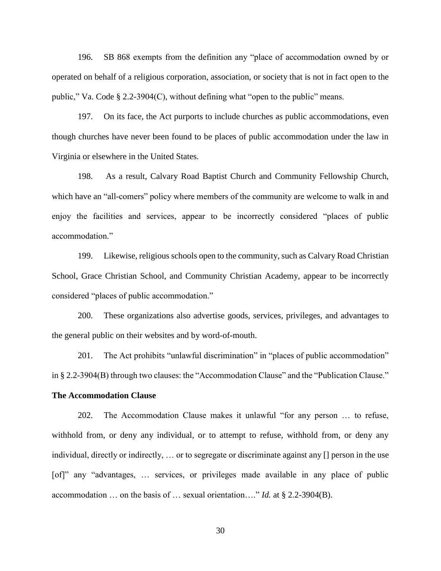196. SB 868 exempts from the definition any "place of accommodation owned by or operated on behalf of a religious corporation, association, or society that is not in fact open to the public," Va. Code § 2.2-3904(C), without defining what "open to the public" means.

197. On its face, the Act purports to include churches as public accommodations, even though churches have never been found to be places of public accommodation under the law in Virginia or elsewhere in the United States.

198. As a result, Calvary Road Baptist Church and Community Fellowship Church, which have an "all-comers" policy where members of the community are welcome to walk in and enjoy the facilities and services, appear to be incorrectly considered "places of public accommodation."

199. Likewise, religious schools open to the community, such as Calvary Road Christian School, Grace Christian School, and Community Christian Academy, appear to be incorrectly considered "places of public accommodation."

200. These organizations also advertise goods, services, privileges, and advantages to the general public on their websites and by word-of-mouth.

201. The Act prohibits "unlawful discrimination" in "places of public accommodation" in § 2.2-3904(B) through two clauses: the "Accommodation Clause" and the "Publication Clause."

## **The Accommodation Clause**

202. The Accommodation Clause makes it unlawful "for any person … to refuse, withhold from, or deny any individual, or to attempt to refuse, withhold from, or deny any individual, directly or indirectly, … or to segregate or discriminate against any [] person in the use [of]" any "advantages, … services, or privileges made available in any place of public accommodation … on the basis of … sexual orientation…." *Id.* at § 2.2-3904(B).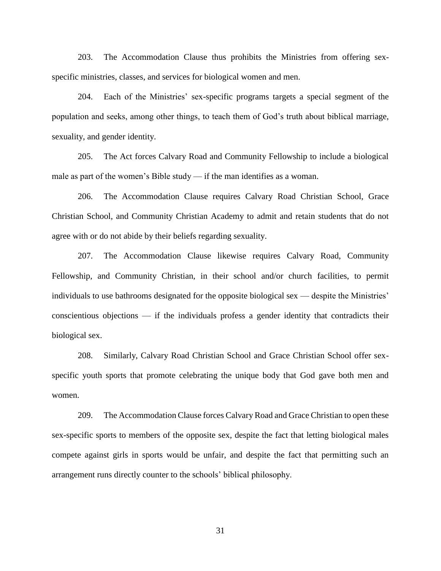203. The Accommodation Clause thus prohibits the Ministries from offering sexspecific ministries, classes, and services for biological women and men.

204. Each of the Ministries' sex-specific programs targets a special segment of the population and seeks, among other things, to teach them of God's truth about biblical marriage, sexuality, and gender identity.

205. The Act forces Calvary Road and Community Fellowship to include a biological male as part of the women's Bible study — if the man identifies as a woman.

206. The Accommodation Clause requires Calvary Road Christian School, Grace Christian School, and Community Christian Academy to admit and retain students that do not agree with or do not abide by their beliefs regarding sexuality.

207. The Accommodation Clause likewise requires Calvary Road, Community Fellowship, and Community Christian, in their school and/or church facilities, to permit individuals to use bathrooms designated for the opposite biological sex — despite the Ministries' conscientious objections — if the individuals profess a gender identity that contradicts their biological sex.

208. Similarly, Calvary Road Christian School and Grace Christian School offer sexspecific youth sports that promote celebrating the unique body that God gave both men and women.

209. The Accommodation Clause forces Calvary Road and Grace Christian to open these sex-specific sports to members of the opposite sex, despite the fact that letting biological males compete against girls in sports would be unfair, and despite the fact that permitting such an arrangement runs directly counter to the schools' biblical philosophy.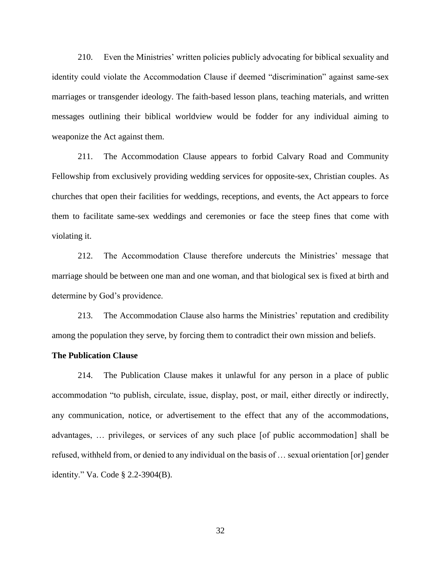210. Even the Ministries' written policies publicly advocating for biblical sexuality and identity could violate the Accommodation Clause if deemed "discrimination" against same-sex marriages or transgender ideology. The faith-based lesson plans, teaching materials, and written messages outlining their biblical worldview would be fodder for any individual aiming to weaponize the Act against them.

211. The Accommodation Clause appears to forbid Calvary Road and Community Fellowship from exclusively providing wedding services for opposite-sex, Christian couples. As churches that open their facilities for weddings, receptions, and events, the Act appears to force them to facilitate same-sex weddings and ceremonies or face the steep fines that come with violating it.

212. The Accommodation Clause therefore undercuts the Ministries' message that marriage should be between one man and one woman, and that biological sex is fixed at birth and determine by God's providence.

213. The Accommodation Clause also harms the Ministries' reputation and credibility among the population they serve, by forcing them to contradict their own mission and beliefs.

### **The Publication Clause**

214. The Publication Clause makes it unlawful for any person in a place of public accommodation "to publish, circulate, issue, display, post, or mail, either directly or indirectly, any communication, notice, or advertisement to the effect that any of the accommodations, advantages, … privileges, or services of any such place [of public accommodation] shall be refused, withheld from, or denied to any individual on the basis of … sexual orientation [or] gender identity." Va. Code § 2.2-3904(B).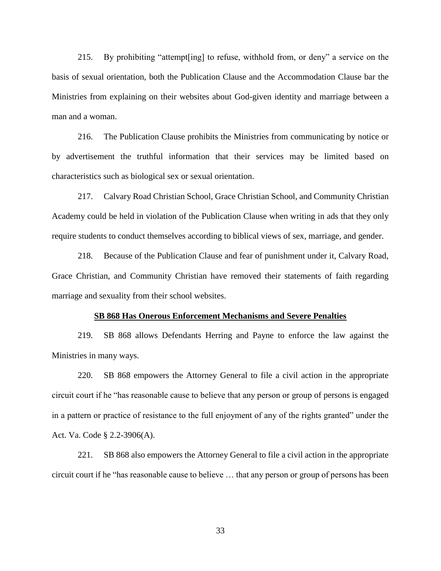215. By prohibiting "attempt[ing] to refuse, withhold from, or deny" a service on the basis of sexual orientation, both the Publication Clause and the Accommodation Clause bar the Ministries from explaining on their websites about God-given identity and marriage between a man and a woman.

216. The Publication Clause prohibits the Ministries from communicating by notice or by advertisement the truthful information that their services may be limited based on characteristics such as biological sex or sexual orientation.

217. Calvary Road Christian School, Grace Christian School, and Community Christian Academy could be held in violation of the Publication Clause when writing in ads that they only require students to conduct themselves according to biblical views of sex, marriage, and gender.

218. Because of the Publication Clause and fear of punishment under it, Calvary Road, Grace Christian, and Community Christian have removed their statements of faith regarding marriage and sexuality from their school websites.

#### **SB 868 Has Onerous Enforcement Mechanisms and Severe Penalties**

219. SB 868 allows Defendants Herring and Payne to enforce the law against the Ministries in many ways.

220. SB 868 empowers the Attorney General to file a civil action in the appropriate circuit court if he "has reasonable cause to believe that any person or group of persons is engaged in a pattern or practice of resistance to the full enjoyment of any of the rights granted" under the Act. Va. Code § 2.2-3906(A).

221. SB 868 also empowers the Attorney General to file a civil action in the appropriate circuit court if he "has reasonable cause to believe … that any person or group of persons has been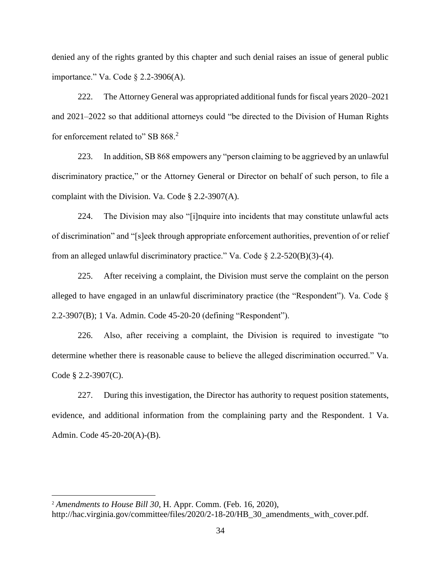denied any of the rights granted by this chapter and such denial raises an issue of general public importance." Va. Code § 2.2-3906(A).

222. The Attorney General was appropriated additional funds for fiscal years 2020–2021 and 2021–2022 so that additional attorneys could "be directed to the Division of Human Rights for enforcement related to" SB 868.<sup>2</sup>

223. In addition, SB 868 empowers any "person claiming to be aggrieved by an unlawful discriminatory practice," or the Attorney General or Director on behalf of such person, to file a complaint with the Division. Va. Code § 2.2-3907(A).

224. The Division may also "[i]nquire into incidents that may constitute unlawful acts of discrimination" and "[s]eek through appropriate enforcement authorities, prevention of or relief from an alleged unlawful discriminatory practice." Va. Code  $\S 2.2-520(B)(3)-(4)$ .

225. After receiving a complaint, the Division must serve the complaint on the person alleged to have engaged in an unlawful discriminatory practice (the "Respondent"). Va. Code § 2.2-3907(B); 1 Va. Admin. Code 45-20-20 (defining "Respondent").

226. Also, after receiving a complaint, the Division is required to investigate "to determine whether there is reasonable cause to believe the alleged discrimination occurred." Va. Code § 2.2-3907(C).

227. During this investigation, the Director has authority to request position statements, evidence, and additional information from the complaining party and the Respondent. 1 Va. Admin. Code 45-20-20(A)-(B).

 $\overline{a}$ 

<sup>2</sup> *Amendments to House Bill 30*, H. Appr. Comm. (Feb. 16, 2020),

http://hac.virginia.gov/committee/files/2020/2-18-20/HB\_30\_amendments\_with\_cover.pdf.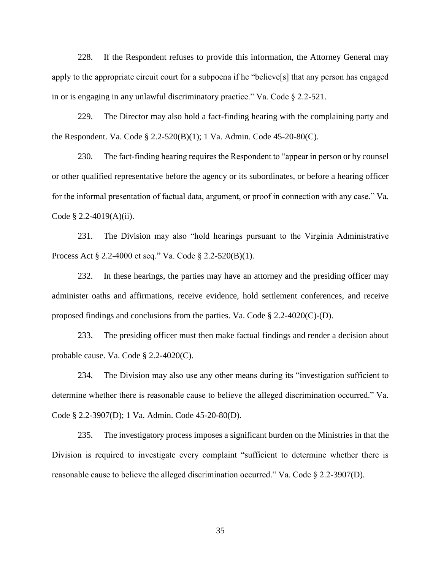228. If the Respondent refuses to provide this information, the Attorney General may apply to the appropriate circuit court for a subpoena if he "believe[s] that any person has engaged in or is engaging in any unlawful discriminatory practice." Va. Code § 2.2-521.

229. The Director may also hold a fact-finding hearing with the complaining party and the Respondent. Va. Code § 2.2-520(B)(1); 1 Va. Admin. Code 45-20-80(C).

230. The fact-finding hearing requires the Respondent to "appear in person or by counsel or other qualified representative before the agency or its subordinates, or before a hearing officer for the informal presentation of factual data, argument, or proof in connection with any case." Va. Code § 2.2-4019(A)(ii).

231. The Division may also "hold hearings pursuant to the Virginia Administrative Process Act § 2.2-4000 et seq." Va. Code § 2.2-520(B)(1).

232. In these hearings, the parties may have an attorney and the presiding officer may administer oaths and affirmations, receive evidence, hold settlement conferences, and receive proposed findings and conclusions from the parties. Va. Code § 2.2-4020(C)-(D).

233. The presiding officer must then make factual findings and render a decision about probable cause. Va. Code § 2.2-4020(C).

234. The Division may also use any other means during its "investigation sufficient to determine whether there is reasonable cause to believe the alleged discrimination occurred." Va. Code § 2.2-3907(D); 1 Va. Admin. Code 45-20-80(D).

235. The investigatory process imposes a significant burden on the Ministries in that the Division is required to investigate every complaint "sufficient to determine whether there is reasonable cause to believe the alleged discrimination occurred." Va. Code § 2.2-3907(D).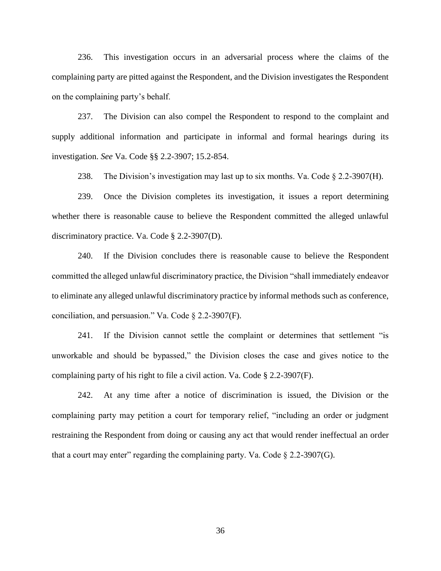236. This investigation occurs in an adversarial process where the claims of the complaining party are pitted against the Respondent, and the Division investigates the Respondent on the complaining party's behalf.

237. The Division can also compel the Respondent to respond to the complaint and supply additional information and participate in informal and formal hearings during its investigation. *See* Va. Code §§ 2.2-3907; 15.2-854.

238. The Division's investigation may last up to six months. Va. Code § 2.2-3907(H).

239. Once the Division completes its investigation, it issues a report determining whether there is reasonable cause to believe the Respondent committed the alleged unlawful discriminatory practice. Va. Code § 2.2-3907(D).

240. If the Division concludes there is reasonable cause to believe the Respondent committed the alleged unlawful discriminatory practice, the Division "shall immediately endeavor to eliminate any alleged unlawful discriminatory practice by informal methods such as conference, conciliation, and persuasion." Va. Code § 2.2-3907(F).

241. If the Division cannot settle the complaint or determines that settlement "is unworkable and should be bypassed," the Division closes the case and gives notice to the complaining party of his right to file a civil action. Va. Code § 2.2-3907(F).

242. At any time after a notice of discrimination is issued, the Division or the complaining party may petition a court for temporary relief, "including an order or judgment restraining the Respondent from doing or causing any act that would render ineffectual an order that a court may enter" regarding the complaining party. Va. Code  $\S 2.2$ -3907(G).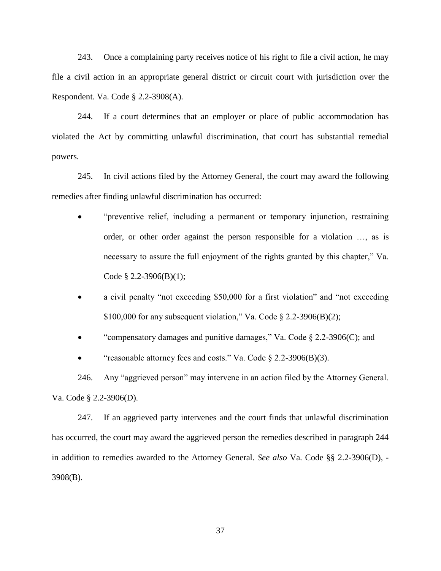243. Once a complaining party receives notice of his right to file a civil action, he may file a civil action in an appropriate general district or circuit court with jurisdiction over the Respondent. Va. Code § 2.2-3908(A).

244. If a court determines that an employer or place of public accommodation has violated the Act by committing unlawful discrimination, that court has substantial remedial powers.

245. In civil actions filed by the Attorney General, the court may award the following remedies after finding unlawful discrimination has occurred:

- "preventive relief, including a permanent or temporary injunction, restraining order, or other order against the person responsible for a violation …, as is necessary to assure the full enjoyment of the rights granted by this chapter," Va. Code  $\S$  2.2-3906(B)(1);
- a civil penalty "not exceeding \$50,000 for a first violation" and "not exceeding \$100,000 for any subsequent violation," Va. Code  $\S 2.2$ -3906(B)(2);
- "compensatory damages and punitive damages," Va. Code  $\S$  2.2-3906(C); and

"reasonable attorney fees and costs." Va. Code § 2.2-3906(B)(3).

246. Any "aggrieved person" may intervene in an action filed by the Attorney General. Va. Code § 2.2-3906(D).

247. If an aggrieved party intervenes and the court finds that unlawful discrimination has occurred, the court may award the aggrieved person the remedies described in paragraph 244 in addition to remedies awarded to the Attorney General. *See also* Va. Code §§ 2.2-3906(D), - 3908(B).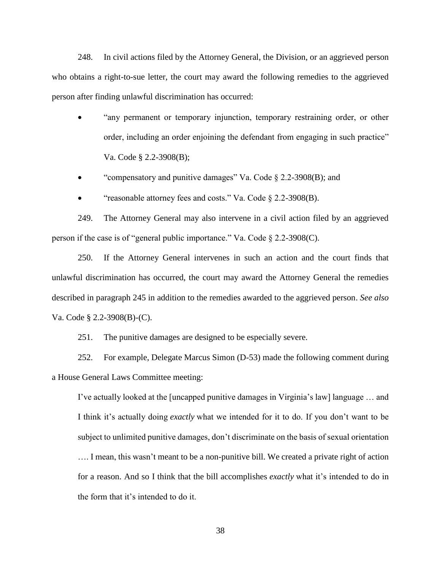248. In civil actions filed by the Attorney General, the Division, or an aggrieved person who obtains a right-to-sue letter, the court may award the following remedies to the aggrieved person after finding unlawful discrimination has occurred:

- "any permanent or temporary injunction, temporary restraining order, or other order, including an order enjoining the defendant from engaging in such practice" Va. Code § 2.2-3908(B);
- "compensatory and punitive damages" Va. Code § 2.2-3908(B); and
- "reasonable attorney fees and costs." Va. Code § 2.2-3908(B).

249. The Attorney General may also intervene in a civil action filed by an aggrieved person if the case is of "general public importance." Va. Code § 2.2-3908(C).

250. If the Attorney General intervenes in such an action and the court finds that unlawful discrimination has occurred, the court may award the Attorney General the remedies described in paragraph 245 in addition to the remedies awarded to the aggrieved person. *See also*  Va. Code § 2.2-3908(B)-(C).

251. The punitive damages are designed to be especially severe.

252. For example, Delegate Marcus Simon (D-53) made the following comment during a House General Laws Committee meeting:

I've actually looked at the [uncapped punitive damages in Virginia's law] language … and I think it's actually doing *exactly* what we intended for it to do. If you don't want to be subject to unlimited punitive damages, don't discriminate on the basis of sexual orientation …. I mean, this wasn't meant to be a non-punitive bill. We created a private right of action for a reason. And so I think that the bill accomplishes *exactly* what it's intended to do in the form that it's intended to do it.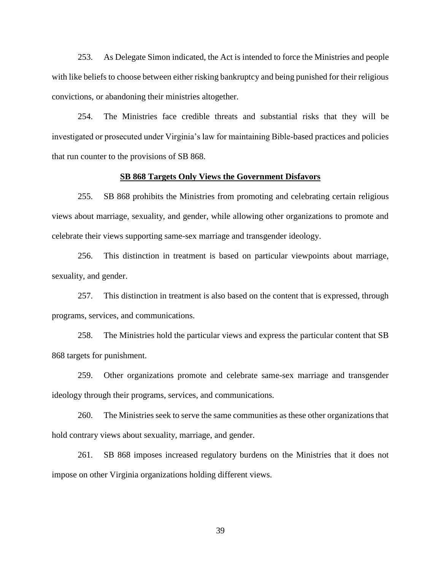253. As Delegate Simon indicated, the Act is intended to force the Ministries and people with like beliefs to choose between either risking bankruptcy and being punished for their religious convictions, or abandoning their ministries altogether.

254. The Ministries face credible threats and substantial risks that they will be investigated or prosecuted under Virginia's law for maintaining Bible-based practices and policies that run counter to the provisions of SB 868.

### **SB 868 Targets Only Views the Government Disfavors**

255. SB 868 prohibits the Ministries from promoting and celebrating certain religious views about marriage, sexuality, and gender, while allowing other organizations to promote and celebrate their views supporting same-sex marriage and transgender ideology.

256. This distinction in treatment is based on particular viewpoints about marriage, sexuality, and gender.

257. This distinction in treatment is also based on the content that is expressed, through programs, services, and communications.

258. The Ministries hold the particular views and express the particular content that SB 868 targets for punishment.

259. Other organizations promote and celebrate same-sex marriage and transgender ideology through their programs, services, and communications.

260. The Ministries seek to serve the same communities as these other organizations that hold contrary views about sexuality, marriage, and gender.

261. SB 868 imposes increased regulatory burdens on the Ministries that it does not impose on other Virginia organizations holding different views.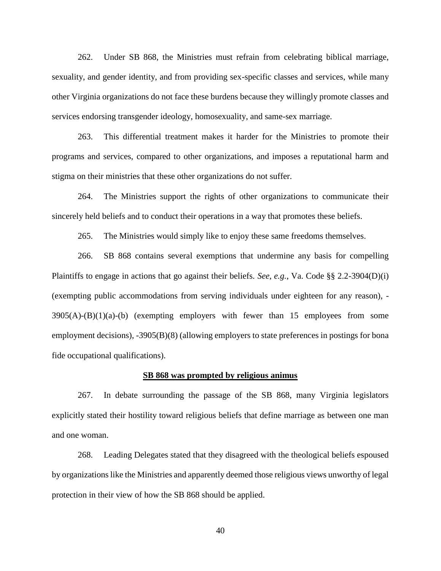262. Under SB 868, the Ministries must refrain from celebrating biblical marriage, sexuality, and gender identity, and from providing sex-specific classes and services, while many other Virginia organizations do not face these burdens because they willingly promote classes and services endorsing transgender ideology, homosexuality, and same-sex marriage.

263. This differential treatment makes it harder for the Ministries to promote their programs and services, compared to other organizations, and imposes a reputational harm and stigma on their ministries that these other organizations do not suffer.

264. The Ministries support the rights of other organizations to communicate their sincerely held beliefs and to conduct their operations in a way that promotes these beliefs.

265. The Ministries would simply like to enjoy these same freedoms themselves.

266. SB 868 contains several exemptions that undermine any basis for compelling Plaintiffs to engage in actions that go against their beliefs. *See, e.g.*, Va. Code §§ 2.2-3904(D)(i) (exempting public accommodations from serving individuals under eighteen for any reason), -  $3905(A)$ -(B)(1)(a)-(b) (exempting employers with fewer than 15 employees from some employment decisions), -3905(B)(8) (allowing employers to state preferences in postings for bona fide occupational qualifications).

### **SB 868 was prompted by religious animus**

267. In debate surrounding the passage of the SB 868, many Virginia legislators explicitly stated their hostility toward religious beliefs that define marriage as between one man and one woman.

268. Leading Delegates stated that they disagreed with the theological beliefs espoused by organizations like the Ministries and apparently deemed those religious views unworthy of legal protection in their view of how the SB 868 should be applied.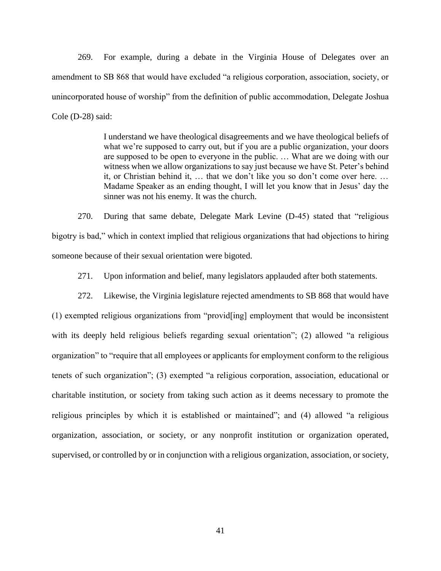269. For example, during a debate in the Virginia House of Delegates over an amendment to SB 868 that would have excluded "a religious corporation, association, society, or unincorporated house of worship" from the definition of public accommodation, Delegate Joshua Cole (D-28) said:

> I understand we have theological disagreements and we have theological beliefs of what we're supposed to carry out, but if you are a public organization, your doors are supposed to be open to everyone in the public. … What are we doing with our witness when we allow organizations to say just because we have St. Peter's behind it, or Christian behind it, … that we don't like you so don't come over here. … Madame Speaker as an ending thought, I will let you know that in Jesus' day the sinner was not his enemy. It was the church.

270. During that same debate, Delegate Mark Levine (D-45) stated that "religious bigotry is bad," which in context implied that religious organizations that had objections to hiring someone because of their sexual orientation were bigoted.

271. Upon information and belief, many legislators applauded after both statements.

272. Likewise, the Virginia legislature rejected amendments to SB 868 that would have (1) exempted religious organizations from "provid[ing] employment that would be inconsistent with its deeply held religious beliefs regarding sexual orientation"; (2) allowed "a religious organization" to "require that all employees or applicants for employment conform to the religious tenets of such organization"; (3) exempted "a religious corporation, association, educational or charitable institution, or society from taking such action as it deems necessary to promote the religious principles by which it is established or maintained"; and (4) allowed "a religious organization, association, or society, or any nonprofit institution or organization operated, supervised, or controlled by or in conjunction with a religious organization, association, or society,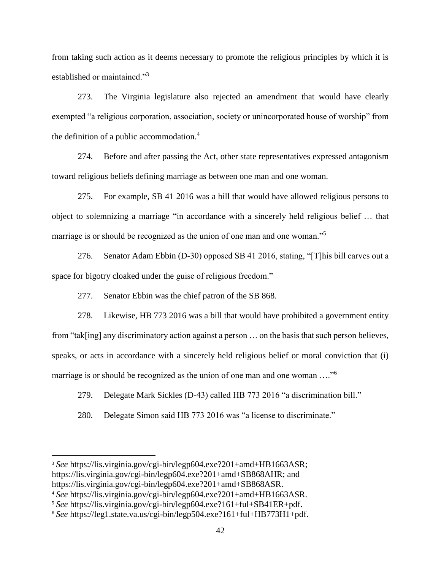from taking such action as it deems necessary to promote the religious principles by which it is established or maintained."<sup>3</sup>

273. The Virginia legislature also rejected an amendment that would have clearly exempted "a religious corporation, association, society or unincorporated house of worship" from the definition of a public accommodation. $4$ 

274. Before and after passing the Act, other state representatives expressed antagonism toward religious beliefs defining marriage as between one man and one woman.

275. For example, SB 41 2016 was a bill that would have allowed religious persons to object to solemnizing a marriage "in accordance with a sincerely held religious belief … that marriage is or should be recognized as the union of one man and one woman."<sup>5</sup>

276. Senator Adam Ebbin (D-30) opposed SB 41 2016, stating, "[T]his bill carves out a space for bigotry cloaked under the guise of religious freedom."

277. Senator Ebbin was the chief patron of the SB 868.

278. Likewise, HB 773 2016 was a bill that would have prohibited a government entity from "tak[ing] any discriminatory action against a person … on the basis that such person believes, speaks, or acts in accordance with a sincerely held religious belief or moral conviction that (i) marriage is or should be recognized as the union of one man and one woman ...."<sup>6</sup>

279. Delegate Mark Sickles (D-43) called HB 773 2016 "a discrimination bill."

280. Delegate Simon said HB 773 2016 was "a license to discriminate."

 $\overline{\phantom{a}}$ 

<sup>&</sup>lt;sup>3</sup> See https://lis.virginia.gov/cgi-bin/legp604.exe?201+amd+HB1663ASR; https://lis.virginia.gov/cgi-bin/legp604.exe?201+amd+SB868AHR; and https://lis.virginia.gov/cgi-bin/legp604.exe?201+amd+SB868ASR.

<sup>4</sup> *See* https://lis.virginia.gov/cgi-bin/legp604.exe?201+amd+HB1663ASR.

<sup>5</sup> *See* https://lis.virginia.gov/cgi-bin/legp604.exe?161+ful+SB41ER+pdf.

<sup>6</sup> *See* https://leg1.state.va.us/cgi-bin/legp504.exe?161+ful+HB773H1+pdf.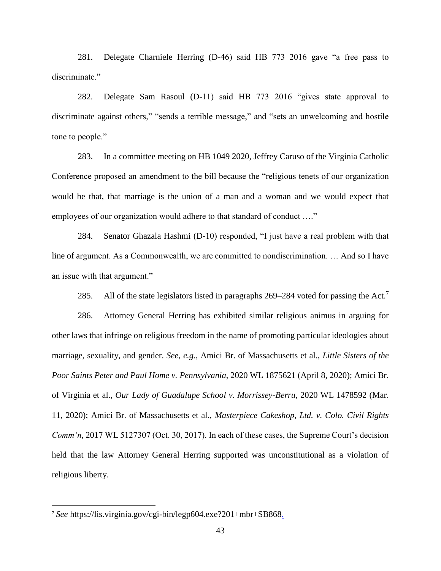281. Delegate Charniele Herring (D-46) said HB 773 2016 gave "a free pass to discriminate."

282. Delegate Sam Rasoul (D-11) said HB 773 2016 "gives state approval to discriminate against others," "sends a terrible message," and "sets an unwelcoming and hostile tone to people."

283. In a committee meeting on HB 1049 2020, Jeffrey Caruso of the Virginia Catholic Conference proposed an amendment to the bill because the "religious tenets of our organization would be that, that marriage is the union of a man and a woman and we would expect that employees of our organization would adhere to that standard of conduct …."

284. Senator Ghazala Hashmi (D-10) responded, "I just have a real problem with that line of argument. As a Commonwealth, we are committed to nondiscrimination. … And so I have an issue with that argument."

285. All of the state legislators listed in paragraphs 269–284 voted for passing the Act.<sup>7</sup>

286. Attorney General Herring has exhibited similar religious animus in arguing for other laws that infringe on religious freedom in the name of promoting particular ideologies about marriage, sexuality, and gender. *See, e.g.*, Amici Br. of Massachusetts et al., *Little Sisters of the Poor Saints Peter and Paul Home v. Pennsylvania*, 2020 WL 1875621 (April 8, 2020); Amici Br. of Virginia et al., *Our Lady of Guadalupe School v. Morrissey-Berru*, 2020 WL 1478592 (Mar. 11, 2020); Amici Br. of Massachusetts et al., *Masterpiece Cakeshop, Ltd. v. Colo. Civil Rights Comm'n*, 2017 WL 5127307 (Oct. 30, 2017). In each of these cases, the Supreme Court's decision held that the law Attorney General Herring supported was unconstitutional as a violation of religious liberty.

 $\overline{\phantom{a}}$ 

<sup>7</sup> *See* https://lis.virginia.gov/cgi-bin/legp604.exe?201+mbr+SB868.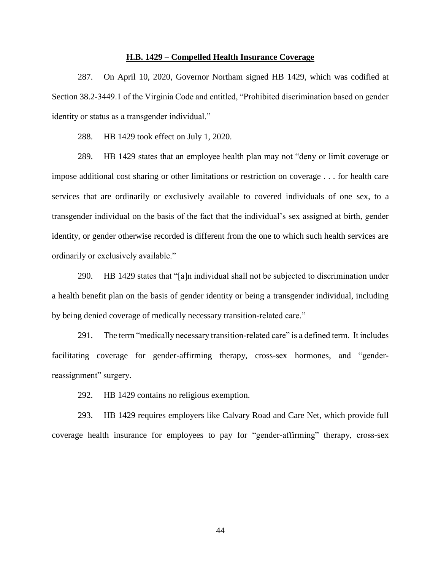### **H.B. 1429 – Compelled Health Insurance Coverage**

287. On April 10, 2020, Governor Northam signed HB 1429, which was codified at Section 38.2-3449.1 of the Virginia Code and entitled, "Prohibited discrimination based on gender identity or status as a transgender individual."

288. HB 1429 took effect on July 1, 2020.

289. HB 1429 states that an employee health plan may not "deny or limit coverage or impose additional cost sharing or other limitations or restriction on coverage . . . for health care services that are ordinarily or exclusively available to covered individuals of one sex, to a transgender individual on the basis of the fact that the individual's sex assigned at birth, gender identity, or gender otherwise recorded is different from the one to which such health services are ordinarily or exclusively available."

290. HB 1429 states that "[a]n individual shall not be subjected to discrimination under a health benefit plan on the basis of gender identity or being a transgender individual, including by being denied coverage of medically necessary transition-related care."

291. The term "medically necessary transition-related care" is a defined term. It includes facilitating coverage for gender-affirming therapy, cross-sex hormones, and "genderreassignment" surgery.

292. HB 1429 contains no religious exemption.

293. HB 1429 requires employers like Calvary Road and Care Net, which provide full coverage health insurance for employees to pay for "gender-affirming" therapy, cross-sex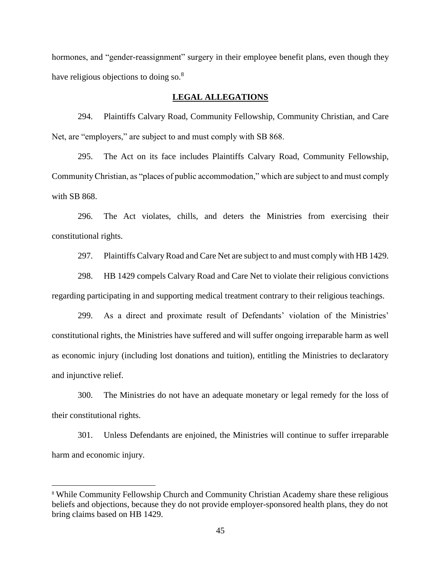hormones, and "gender-reassignment" surgery in their employee benefit plans, even though they have religious objections to doing so.<sup>8</sup>

### **LEGAL ALLEGATIONS**

294. Plaintiffs Calvary Road, Community Fellowship, Community Christian, and Care Net, are "employers," are subject to and must comply with SB 868.

295. The Act on its face includes Plaintiffs Calvary Road, Community Fellowship, Community Christian, as "places of public accommodation," which are subject to and must comply with SB 868.

296. The Act violates, chills, and deters the Ministries from exercising their constitutional rights.

297. Plaintiffs Calvary Road and Care Net are subject to and must comply with HB 1429.

298. HB 1429 compels Calvary Road and Care Net to violate their religious convictions regarding participating in and supporting medical treatment contrary to their religious teachings.

299. As a direct and proximate result of Defendants' violation of the Ministries' constitutional rights, the Ministries have suffered and will suffer ongoing irreparable harm as well as economic injury (including lost donations and tuition), entitling the Ministries to declaratory and injunctive relief.

300. The Ministries do not have an adequate monetary or legal remedy for the loss of their constitutional rights.

301. Unless Defendants are enjoined, the Ministries will continue to suffer irreparable harm and economic injury.

 $\overline{a}$ 

<sup>8</sup> While Community Fellowship Church and Community Christian Academy share these religious beliefs and objections, because they do not provide employer-sponsored health plans, they do not bring claims based on HB 1429.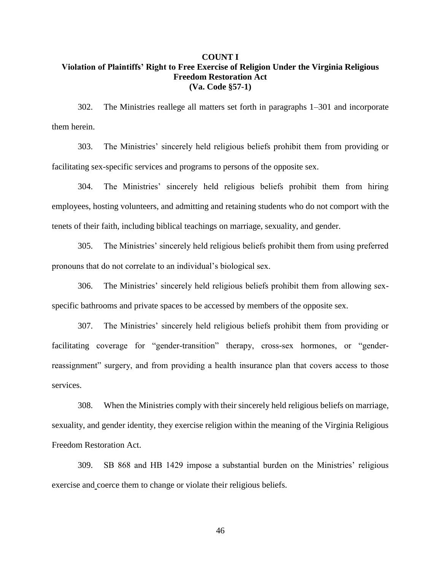# **COUNT I Violation of Plaintiffs' Right to Free Exercise of Religion Under the Virginia Religious Freedom Restoration Act (Va. Code §57-1)**

302. The Ministries reallege all matters set forth in paragraphs 1–301 and incorporate them herein.

303. The Ministries' sincerely held religious beliefs prohibit them from providing or facilitating sex-specific services and programs to persons of the opposite sex.

304. The Ministries' sincerely held religious beliefs prohibit them from hiring employees, hosting volunteers, and admitting and retaining students who do not comport with the tenets of their faith, including biblical teachings on marriage, sexuality, and gender.

305. The Ministries' sincerely held religious beliefs prohibit them from using preferred pronouns that do not correlate to an individual's biological sex.

306. The Ministries' sincerely held religious beliefs prohibit them from allowing sexspecific bathrooms and private spaces to be accessed by members of the opposite sex.

307. The Ministries' sincerely held religious beliefs prohibit them from providing or facilitating coverage for "gender-transition" therapy, cross-sex hormones, or "genderreassignment" surgery, and from providing a health insurance plan that covers access to those services.

308. When the Ministries comply with their sincerely held religious beliefs on marriage, sexuality, and gender identity, they exercise religion within the meaning of the Virginia Religious Freedom Restoration Act.

309. SB 868 and HB 1429 impose a substantial burden on the Ministries' religious exercise and coerce them to change or violate their religious beliefs.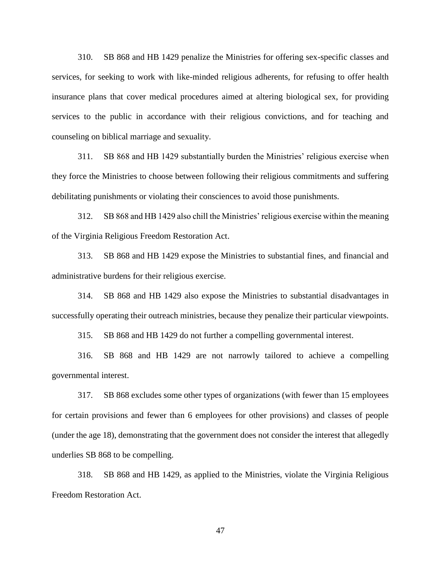310. SB 868 and HB 1429 penalize the Ministries for offering sex-specific classes and services, for seeking to work with like-minded religious adherents, for refusing to offer health insurance plans that cover medical procedures aimed at altering biological sex, for providing services to the public in accordance with their religious convictions, and for teaching and counseling on biblical marriage and sexuality.

311. SB 868 and HB 1429 substantially burden the Ministries' religious exercise when they force the Ministries to choose between following their religious commitments and suffering debilitating punishments or violating their consciences to avoid those punishments.

312. SB 868 and HB 1429 also chill the Ministries' religious exercise within the meaning of the Virginia Religious Freedom Restoration Act.

313. SB 868 and HB 1429 expose the Ministries to substantial fines, and financial and administrative burdens for their religious exercise.

314. SB 868 and HB 1429 also expose the Ministries to substantial disadvantages in successfully operating their outreach ministries, because they penalize their particular viewpoints.

315. SB 868 and HB 1429 do not further a compelling governmental interest.

316. SB 868 and HB 1429 are not narrowly tailored to achieve a compelling governmental interest.

317. SB 868 excludes some other types of organizations (with fewer than 15 employees for certain provisions and fewer than 6 employees for other provisions) and classes of people (under the age 18), demonstrating that the government does not consider the interest that allegedly underlies SB 868 to be compelling.

318. SB 868 and HB 1429, as applied to the Ministries, violate the Virginia Religious Freedom Restoration Act.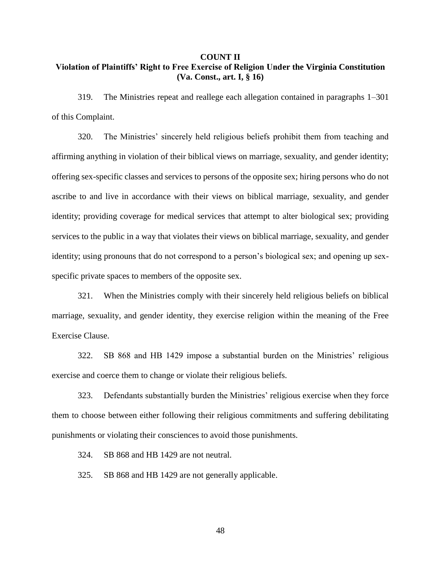# **COUNT II Violation of Plaintiffs' Right to Free Exercise of Religion Under the Virginia Constitution (Va. Const., art. I, § 16)**

319. The Ministries repeat and reallege each allegation contained in paragraphs 1–301 of this Complaint.

320. The Ministries' sincerely held religious beliefs prohibit them from teaching and affirming anything in violation of their biblical views on marriage, sexuality, and gender identity; offering sex-specific classes and services to persons of the opposite sex; hiring persons who do not ascribe to and live in accordance with their views on biblical marriage, sexuality, and gender identity; providing coverage for medical services that attempt to alter biological sex; providing services to the public in a way that violates their views on biblical marriage, sexuality, and gender identity; using pronouns that do not correspond to a person's biological sex; and opening up sexspecific private spaces to members of the opposite sex.

321. When the Ministries comply with their sincerely held religious beliefs on biblical marriage, sexuality, and gender identity, they exercise religion within the meaning of the Free Exercise Clause.

322. SB 868 and HB 1429 impose a substantial burden on the Ministries' religious exercise and coerce them to change or violate their religious beliefs.

323. Defendants substantially burden the Ministries' religious exercise when they force them to choose between either following their religious commitments and suffering debilitating punishments or violating their consciences to avoid those punishments.

324. SB 868 and HB 1429 are not neutral.

325. SB 868 and HB 1429 are not generally applicable.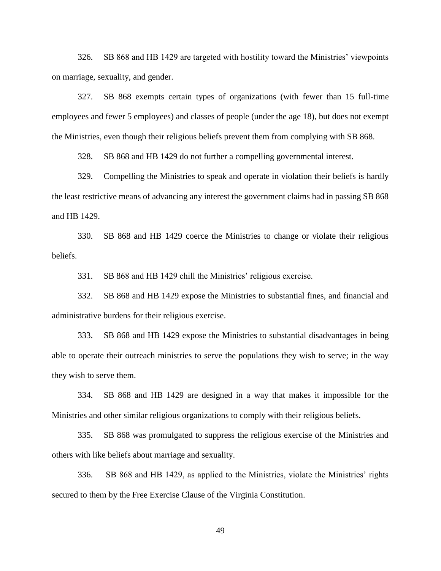326. SB 868 and HB 1429 are targeted with hostility toward the Ministries' viewpoints on marriage, sexuality, and gender.

327. SB 868 exempts certain types of organizations (with fewer than 15 full-time employees and fewer 5 employees) and classes of people (under the age 18), but does not exempt the Ministries, even though their religious beliefs prevent them from complying with SB 868.

328. SB 868 and HB 1429 do not further a compelling governmental interest.

329. Compelling the Ministries to speak and operate in violation their beliefs is hardly the least restrictive means of advancing any interest the government claims had in passing SB 868 and HB 1429.

330. SB 868 and HB 1429 coerce the Ministries to change or violate their religious beliefs.

331. SB 868 and HB 1429 chill the Ministries' religious exercise.

332. SB 868 and HB 1429 expose the Ministries to substantial fines, and financial and administrative burdens for their religious exercise.

333. SB 868 and HB 1429 expose the Ministries to substantial disadvantages in being able to operate their outreach ministries to serve the populations they wish to serve; in the way they wish to serve them.

334. SB 868 and HB 1429 are designed in a way that makes it impossible for the Ministries and other similar religious organizations to comply with their religious beliefs.

335. SB 868 was promulgated to suppress the religious exercise of the Ministries and others with like beliefs about marriage and sexuality.

336. SB 868 and HB 1429, as applied to the Ministries, violate the Ministries' rights secured to them by the Free Exercise Clause of the Virginia Constitution.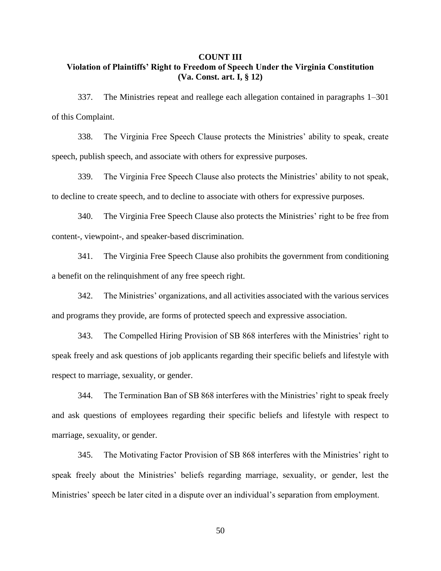# **COUNT III Violation of Plaintiffs' Right to Freedom of Speech Under the Virginia Constitution (Va. Const. art. I, § 12)**

337. The Ministries repeat and reallege each allegation contained in paragraphs 1–301 of this Complaint.

338. The Virginia Free Speech Clause protects the Ministries' ability to speak, create speech, publish speech, and associate with others for expressive purposes.

339. The Virginia Free Speech Clause also protects the Ministries' ability to not speak, to decline to create speech, and to decline to associate with others for expressive purposes.

340. The Virginia Free Speech Clause also protects the Ministries' right to be free from content-, viewpoint-, and speaker-based discrimination.

341. The Virginia Free Speech Clause also prohibits the government from conditioning a benefit on the relinquishment of any free speech right.

342. The Ministries' organizations, and all activities associated with the various services and programs they provide, are forms of protected speech and expressive association.

343. The Compelled Hiring Provision of SB 868 interferes with the Ministries' right to speak freely and ask questions of job applicants regarding their specific beliefs and lifestyle with respect to marriage, sexuality, or gender.

344. The Termination Ban of SB 868 interferes with the Ministries' right to speak freely and ask questions of employees regarding their specific beliefs and lifestyle with respect to marriage, sexuality, or gender.

345. The Motivating Factor Provision of SB 868 interferes with the Ministries' right to speak freely about the Ministries' beliefs regarding marriage, sexuality, or gender, lest the Ministries' speech be later cited in a dispute over an individual's separation from employment.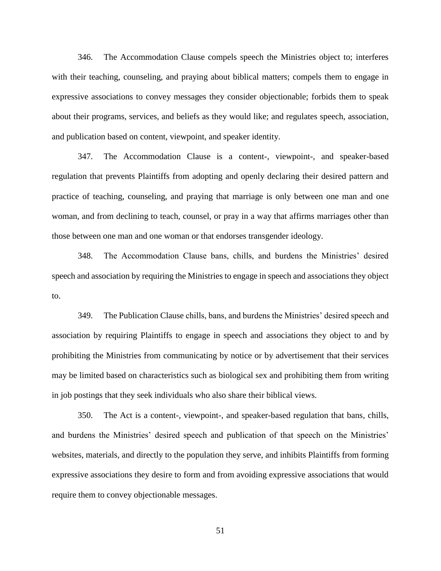346. The Accommodation Clause compels speech the Ministries object to; interferes with their teaching, counseling, and praying about biblical matters; compels them to engage in expressive associations to convey messages they consider objectionable; forbids them to speak about their programs, services, and beliefs as they would like; and regulates speech, association, and publication based on content, viewpoint, and speaker identity.

347. The Accommodation Clause is a content-, viewpoint-, and speaker-based regulation that prevents Plaintiffs from adopting and openly declaring their desired pattern and practice of teaching, counseling, and praying that marriage is only between one man and one woman, and from declining to teach, counsel, or pray in a way that affirms marriages other than those between one man and one woman or that endorses transgender ideology.

348. The Accommodation Clause bans, chills, and burdens the Ministries' desired speech and association by requiring the Ministries to engage in speech and associations they object to.

349. The Publication Clause chills, bans, and burdens the Ministries' desired speech and association by requiring Plaintiffs to engage in speech and associations they object to and by prohibiting the Ministries from communicating by notice or by advertisement that their services may be limited based on characteristics such as biological sex and prohibiting them from writing in job postings that they seek individuals who also share their biblical views.

350. The Act is a content-, viewpoint-, and speaker-based regulation that bans, chills, and burdens the Ministries' desired speech and publication of that speech on the Ministries' websites, materials, and directly to the population they serve, and inhibits Plaintiffs from forming expressive associations they desire to form and from avoiding expressive associations that would require them to convey objectionable messages.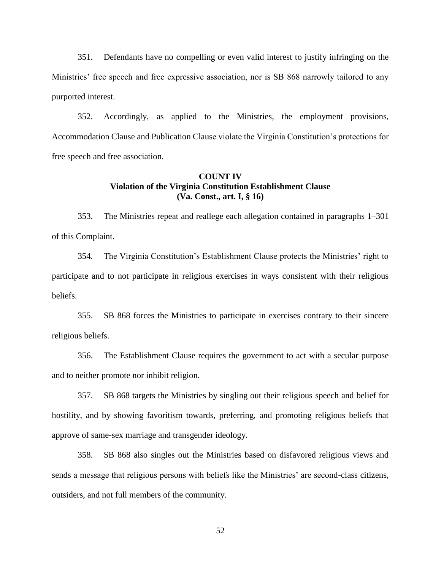351. Defendants have no compelling or even valid interest to justify infringing on the Ministries' free speech and free expressive association, nor is SB 868 narrowly tailored to any purported interest.

352. Accordingly, as applied to the Ministries, the employment provisions, Accommodation Clause and Publication Clause violate the Virginia Constitution's protections for free speech and free association.

# **COUNT IV Violation of the Virginia Constitution Establishment Clause (Va. Const., art. I, § 16)**

353. The Ministries repeat and reallege each allegation contained in paragraphs 1–301 of this Complaint.

354. The Virginia Constitution's Establishment Clause protects the Ministries' right to participate and to not participate in religious exercises in ways consistent with their religious beliefs.

355. SB 868 forces the Ministries to participate in exercises contrary to their sincere religious beliefs.

356. The Establishment Clause requires the government to act with a secular purpose and to neither promote nor inhibit religion.

357. SB 868 targets the Ministries by singling out their religious speech and belief for hostility, and by showing favoritism towards, preferring, and promoting religious beliefs that approve of same-sex marriage and transgender ideology.

358. SB 868 also singles out the Ministries based on disfavored religious views and sends a message that religious persons with beliefs like the Ministries' are second-class citizens, outsiders, and not full members of the community.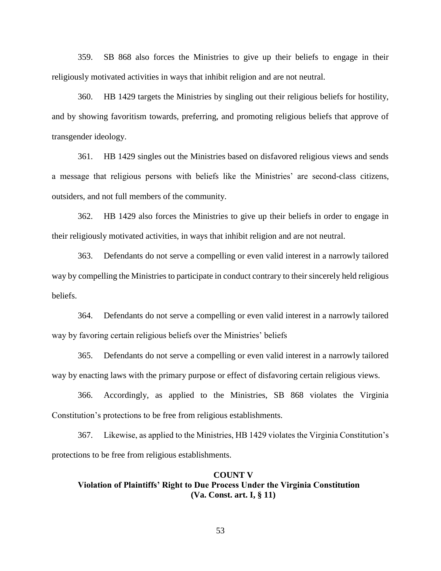359. SB 868 also forces the Ministries to give up their beliefs to engage in their religiously motivated activities in ways that inhibit religion and are not neutral.

360. HB 1429 targets the Ministries by singling out their religious beliefs for hostility, and by showing favoritism towards, preferring, and promoting religious beliefs that approve of transgender ideology.

361. HB 1429 singles out the Ministries based on disfavored religious views and sends a message that religious persons with beliefs like the Ministries' are second-class citizens, outsiders, and not full members of the community.

362. HB 1429 also forces the Ministries to give up their beliefs in order to engage in their religiously motivated activities, in ways that inhibit religion and are not neutral.

363. Defendants do not serve a compelling or even valid interest in a narrowly tailored way by compelling the Ministries to participate in conduct contrary to their sincerely held religious beliefs.

364. Defendants do not serve a compelling or even valid interest in a narrowly tailored way by favoring certain religious beliefs over the Ministries' beliefs

365. Defendants do not serve a compelling or even valid interest in a narrowly tailored way by enacting laws with the primary purpose or effect of disfavoring certain religious views.

366. Accordingly, as applied to the Ministries, SB 868 violates the Virginia Constitution's protections to be free from religious establishments.

367. Likewise, as applied to the Ministries, HB 1429 violates the Virginia Constitution's protections to be free from religious establishments.

# **COUNT V Violation of Plaintiffs' Right to Due Process Under the Virginia Constitution (Va. Const. art. I, § 11)**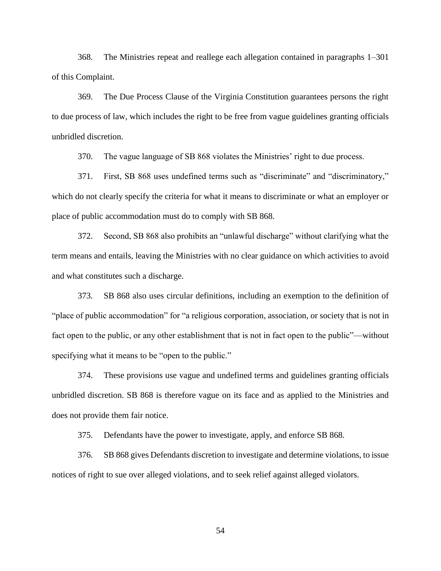368. The Ministries repeat and reallege each allegation contained in paragraphs 1–301 of this Complaint.

369. The Due Process Clause of the Virginia Constitution guarantees persons the right to due process of law, which includes the right to be free from vague guidelines granting officials unbridled discretion.

370. The vague language of SB 868 violates the Ministries' right to due process.

371. First, SB 868 uses undefined terms such as "discriminate" and "discriminatory," which do not clearly specify the criteria for what it means to discriminate or what an employer or place of public accommodation must do to comply with SB 868.

372. Second, SB 868 also prohibits an "unlawful discharge" without clarifying what the term means and entails, leaving the Ministries with no clear guidance on which activities to avoid and what constitutes such a discharge.

373. SB 868 also uses circular definitions, including an exemption to the definition of "place of public accommodation" for "a religious corporation, association, or society that is not in fact open to the public, or any other establishment that is not in fact open to the public"—without specifying what it means to be "open to the public."

374. These provisions use vague and undefined terms and guidelines granting officials unbridled discretion. SB 868 is therefore vague on its face and as applied to the Ministries and does not provide them fair notice.

375. Defendants have the power to investigate, apply, and enforce SB 868.

376. SB 868 gives Defendants discretion to investigate and determine violations, to issue notices of right to sue over alleged violations, and to seek relief against alleged violators.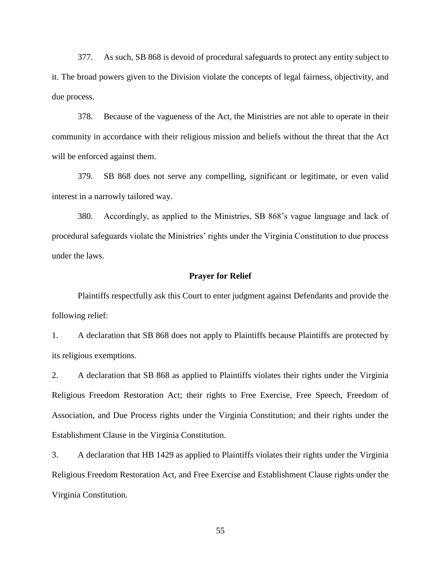377. As such, SB 868 is devoid of procedural safeguards to protect any entity subject to it. The broad powers given to the Division violate the concepts of legal fairness, objectivity, and due process.

378. Because of the vagueness of the Act, the Ministries are not able to operate in their community in accordance with their religious mission and beliefs without the threat that the Act will be enforced against them.

379. SB 868 does not serve any compelling, significant or legitimate, or even valid interest in a narrowly tailored way.

380. Accordingly, as applied to the Ministries, SB 868's vague language and lack of procedural safeguards violate the Ministries' rights under the Virginia Constitution to due process under the laws.

### **Prayer for Relief**

Plaintiffs respectfully ask this Court to enter judgment against Defendants and provide the following relief:

1. A declaration that SB 868 does not apply to Plaintiffs because Plaintiffs are protected by its religious exemptions.

2. A declaration that SB 868 as applied to Plaintiffs violates their rights under the Virginia Religious Freedom Restoration Act; their rights to Free Exercise, Free Speech, Freedom of Association, and Due Process rights under the Virginia Constitution; and their rights under the Establishment Clause in the Virginia Constitution.

3. A declaration that HB 1429 as applied to Plaintiffs violates their rights under the Virginia Religious Freedom Restoration Act, and Free Exercise and Establishment Clause rights under the Virginia Constitution.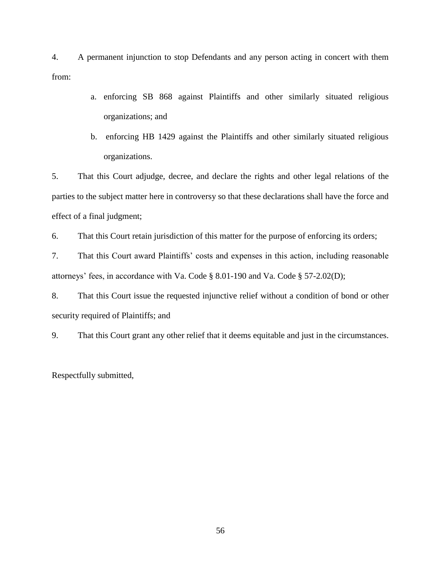4. A permanent injunction to stop Defendants and any person acting in concert with them from:

- a. enforcing SB 868 against Plaintiffs and other similarly situated religious organizations; and
- b. enforcing HB 1429 against the Plaintiffs and other similarly situated religious organizations.

5. That this Court adjudge, decree, and declare the rights and other legal relations of the parties to the subject matter here in controversy so that these declarations shall have the force and effect of a final judgment;

6. That this Court retain jurisdiction of this matter for the purpose of enforcing its orders;

7. That this Court award Plaintiffs' costs and expenses in this action, including reasonable attorneys' fees, in accordance with Va. Code § 8.01-190 and Va. Code § 57-2.02(D);

8. That this Court issue the requested injunctive relief without a condition of bond or other security required of Plaintiffs; and

9. That this Court grant any other relief that it deems equitable and just in the circumstances.

Respectfully submitted,